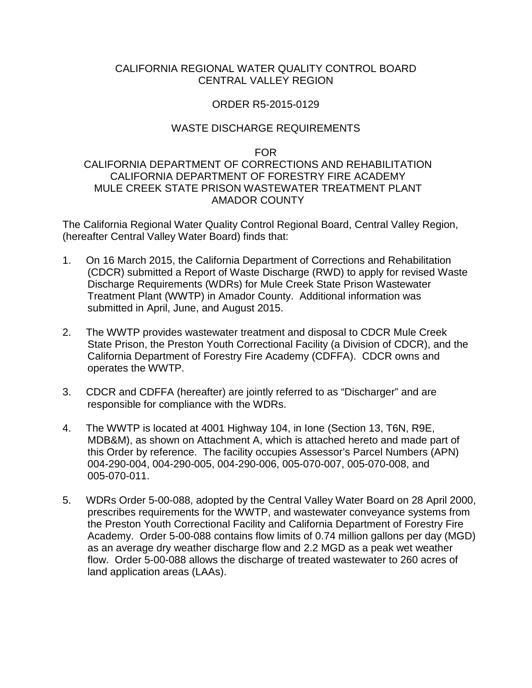### CALIFORNIA REGIONAL WATER QUALITY CONTROL BOARD CENTRAL VALLEY REGION

## ORDER R5-2015-0129

# WASTE DISCHARGE REQUIREMENTS

FOR

# CALIFORNIA DEPARTMENT OF CORRECTIONS AND REHABILITATION CALIFORNIA DEPARTMENT OF FORESTRY FIRE ACADEMY MULE CREEK STATE PRISON WASTEWATER TREATMENT PLANT AMADOR COUNTY

The California Regional Water Quality Control Regional Board, Central Valley Region, (hereafter Central Valley Water Board) finds that:

- 1. On 16 March 2015, the California Department of Corrections and Rehabilitation (CDCR) submitted a Report of Waste Discharge (RWD) to apply for revised Waste Discharge Requirements (WDRs) for Mule Creek State Prison Wastewater Treatment Plant (WWTP) in Amador County. Additional information was submitted in April, June, and August 2015.
- 2. The WWTP provides wastewater treatment and disposal to CDCR Mule Creek State Prison, the Preston Youth Correctional Facility (a Division of CDCR), and the California Department of Forestry Fire Academy (CDFFA). CDCR owns and operates the WWTP.
- 3. CDCR and CDFFA (hereafter) are jointly referred to as "Discharger" and are responsible for compliance with the WDRs.
- 4. The WWTP is located at 4001 Highway 104, in Ione (Section 13, T6N, R9E, MDB&M), as shown on Attachment A, which is attached hereto and made part of this Order by reference. The facility occupies Assessor's Parcel Numbers (APN) 004-290-004, 004-290-005, 004-290-006, 005-070-007, 005-070-008, and 005-070-011.
- 5. WDRs Order 5-00-088, adopted by the Central Valley Water Board on 28 April 2000, prescribes requirements for the WWTP, and wastewater conveyance systems from the Preston Youth Correctional Facility and California Department of Forestry Fire Academy. Order 5-00-088 contains flow limits of 0.74 million gallons per day (MGD) as an average dry weather discharge flow and 2.2 MGD as a peak wet weather flow. Order 5-00-088 allows the discharge of treated wastewater to 260 acres of land application areas (LAAs).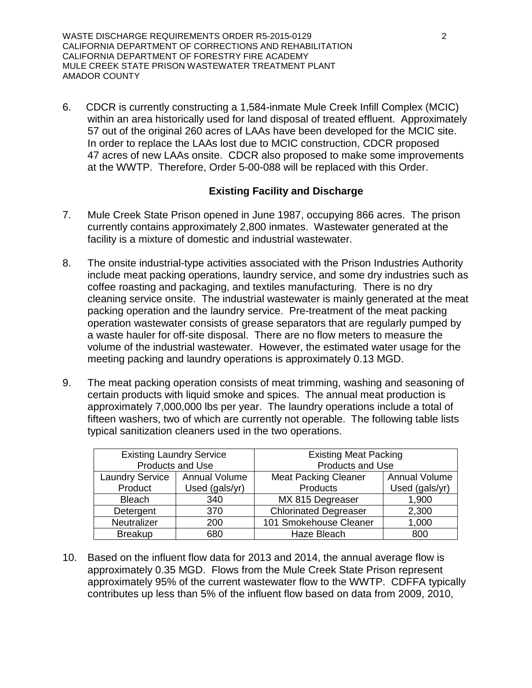WASTE DISCHARGE REQUIREMENTS ORDER R5-2015-0129 2 CALIFORNIA DEPARTMENT OF CORRECTIONS AND REHABILITATION CALIFORNIA DEPARTMENT OF FORESTRY FIRE ACADEMY MULE CREEK STATE PRISON WASTEWATER TREATMENT PLANT AMADOR COUNTY

6. CDCR is currently constructing a 1,584-inmate Mule Creek Infill Complex (MCIC) within an area historically used for land disposal of treated effluent. Approximately 57 out of the original 260 acres of LAAs have been developed for the MCIC site. In order to replace the LAAs lost due to MCIC construction, CDCR proposed 47 acres of new LAAs onsite. CDCR also proposed to make some improvements at the WWTP. Therefore, Order 5-00-088 will be replaced with this Order.

### **Existing Facility and Discharge**

- 7. Mule Creek State Prison opened in June 1987, occupying 866 acres. The prison currently contains approximately 2,800 inmates. Wastewater generated at the facility is a mixture of domestic and industrial wastewater.
- 8. The onsite industrial-type activities associated with the Prison Industries Authority include meat packing operations, laundry service, and some dry industries such as coffee roasting and packaging, and textiles manufacturing. There is no dry cleaning service onsite. The industrial wastewater is mainly generated at the meat packing operation and the laundry service. Pre-treatment of the meat packing operation wastewater consists of grease separators that are regularly pumped by a waste hauler for off-site disposal. There are no flow meters to measure the volume of the industrial wastewater. However, the estimated water usage for the meeting packing and laundry operations is approximately 0.13 MGD.
- 9. The meat packing operation consists of meat trimming, washing and seasoning of certain products with liquid smoke and spices. The annual meat production is approximately 7,000,000 lbs per year. The laundry operations include a total of fifteen washers, two of which are currently not operable. The following table lists typical sanitization cleaners used in the two operations.

| <b>Existing Laundry Service</b> |                      | <b>Existing Meat Packing</b> |                      |  |
|---------------------------------|----------------------|------------------------------|----------------------|--|
|                                 | Products and Use     | Products and Use             |                      |  |
| <b>Laundry Service</b>          | <b>Annual Volume</b> | <b>Meat Packing Cleaner</b>  | <b>Annual Volume</b> |  |
| Product                         | Used (gals/yr)       | Products                     | Used (gals/yr)       |  |
| <b>Bleach</b>                   | 340                  | MX 815 Degreaser             | 1,900                |  |
| Detergent                       | 370                  | <b>Chlorinated Degreaser</b> | 2,300                |  |
| Neutralizer                     | 200                  | 101 Smokehouse Cleaner       | 1,000                |  |
| <b>Breakup</b>                  | 680                  | Haze Bleach                  | 800                  |  |

10. Based on the influent flow data for 2013 and 2014, the annual average flow is approximately 0.35 MGD. Flows from the Mule Creek State Prison represent approximately 95% of the current wastewater flow to the WWTP. CDFFA typically contributes up less than 5% of the influent flow based on data from 2009, 2010,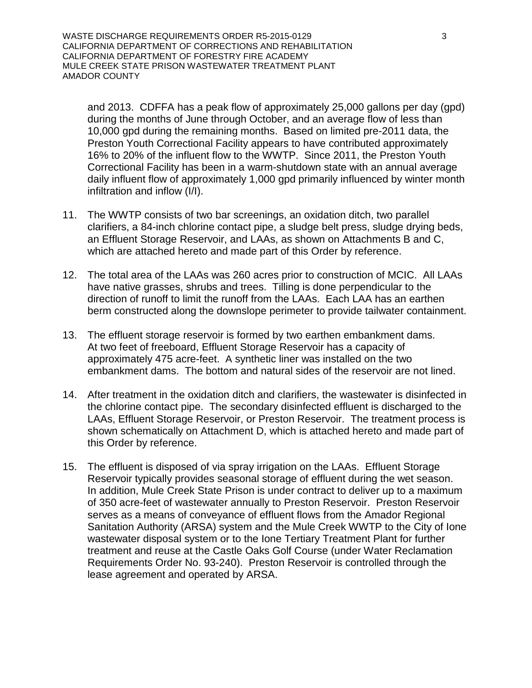WASTE DISCHARGE REQUIREMENTS ORDER R5-2015-0129 3 CALIFORNIA DEPARTMENT OF CORRECTIONS AND REHABILITATION CALIFORNIA DEPARTMENT OF FORESTRY FIRE ACADEMY MULE CREEK STATE PRISON WASTEWATER TREATMENT PLANT AMADOR COUNTY

and 2013. CDFFA has a peak flow of approximately 25,000 gallons per day (gpd) during the months of June through October, and an average flow of less than 10,000 gpd during the remaining months. Based on limited pre-2011 data, the Preston Youth Correctional Facility appears to have contributed approximately 16% to 20% of the influent flow to the WWTP. Since 2011, the Preston Youth Correctional Facility has been in a warm-shutdown state with an annual average daily influent flow of approximately 1,000 gpd primarily influenced by winter month infiltration and inflow (I/I).

- 11. The WWTP consists of two bar screenings, an oxidation ditch, two parallel clarifiers, a 84-inch chlorine contact pipe, a sludge belt press, sludge drying beds, an Effluent Storage Reservoir, and LAAs, as shown on Attachments B and C, which are attached hereto and made part of this Order by reference.
- 12. The total area of the LAAs was 260 acres prior to construction of MCIC. All LAAs have native grasses, shrubs and trees. Tilling is done perpendicular to the direction of runoff to limit the runoff from the LAAs. Each LAA has an earthen berm constructed along the downslope perimeter to provide tailwater containment.
- 13. The effluent storage reservoir is formed by two earthen embankment dams. At two feet of freeboard, Effluent Storage Reservoir has a capacity of approximately 475 acre-feet. A synthetic liner was installed on the two embankment dams. The bottom and natural sides of the reservoir are not lined.
- 14. After treatment in the oxidation ditch and clarifiers, the wastewater is disinfected in the chlorine contact pipe. The secondary disinfected effluent is discharged to the LAAs, Effluent Storage Reservoir, or Preston Reservoir. The treatment process is shown schematically on Attachment D, which is attached hereto and made part of this Order by reference.
- 15. The effluent is disposed of via spray irrigation on the LAAs. Effluent Storage Reservoir typically provides seasonal storage of effluent during the wet season. In addition, Mule Creek State Prison is under contract to deliver up to a maximum of 350 acre-feet of wastewater annually to Preston Reservoir. Preston Reservoir serves as a means of conveyance of effluent flows from the Amador Regional Sanitation Authority (ARSA) system and the Mule Creek WWTP to the City of Ione wastewater disposal system or to the Ione Tertiary Treatment Plant for further treatment and reuse at the Castle Oaks Golf Course (under Water Reclamation Requirements Order No. 93-240). Preston Reservoir is controlled through the lease agreement and operated by ARSA.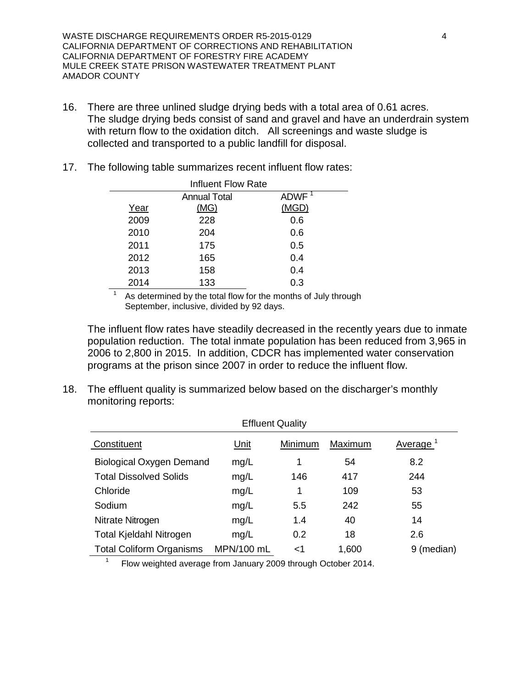WASTE DISCHARGE REQUIREMENTS ORDER R5-2015-0129 4 CALIFORNIA DEPARTMENT OF CORRECTIONS AND REHABILITATION CALIFORNIA DEPARTMENT OF FORESTRY FIRE ACADEMY MULE CREEK STATE PRISON WASTEWATER TREATMENT PLANT AMADOR COUNTY

- 16. There are three unlined sludge drying beds with a total area of 0.61 acres. The sludge drying beds consist of sand and gravel and have an underdrain system with return flow to the oxidation ditch. All screenings and waste sludge is collected and transported to a public landfill for disposal.
- 17. The following table summarizes recent influent flow rates:

| Influent Flow Rate |                     |                   |  |  |
|--------------------|---------------------|-------------------|--|--|
|                    | <b>Annual Total</b> | ADWF <sup>1</sup> |  |  |
| Year               | (MG)                | (MGD)             |  |  |
| 2009               | 228                 | 0.6               |  |  |
| 2010               | 204                 | 0.6               |  |  |
| 2011               | 175                 | 0.5               |  |  |
| 2012               | 165                 | 0.4               |  |  |
| 2013               | 158                 | 0.4               |  |  |
| 2014               | 133                 | 0.3               |  |  |

 $\frac{1}{1}$  As determined by the total flow for the months of July through September, inclusive, divided by 92 days.

The influent flow rates have steadily decreased in the recently years due to inmate population reduction. The total inmate population has been reduced from 3,965 in 2006 to 2,800 in 2015. In addition, CDCR has implemented water conservation programs at the prison since 2007 in order to reduce the influent flow.

18. The effluent quality is summarized below based on the discharger's monthly monitoring reports:

| <b>Effluent Quality</b>         |             |         |         |            |  |
|---------------------------------|-------------|---------|---------|------------|--|
| Constituent                     | <u>Unit</u> | Minimum | Maximum | Average    |  |
| <b>Biological Oxygen Demand</b> | mg/L        | 1       | 54      | 8.2        |  |
| <b>Total Dissolved Solids</b>   | mg/L        | 146     | 417     | 244        |  |
| Chloride                        | mg/L        | 1       | 109     | 53         |  |
| Sodium                          | mg/L        | 5.5     | 242     | 55         |  |
| Nitrate Nitrogen                | mg/L        | 1.4     | 40      | 14         |  |
| <b>Total Kjeldahl Nitrogen</b>  | mg/L        | 0.2     | 18      | 2.6        |  |
| <b>Total Coliform Organisms</b> | MPN/100 mL  | <1      | 1,600   | 9 (median) |  |

 $1$  Flow weighted average from January 2009 through October 2014.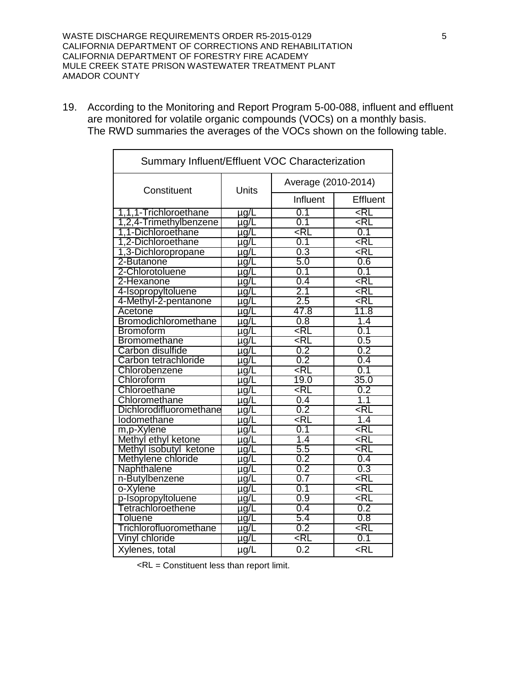WASTE DISCHARGE REQUIREMENTS ORDER R5-2015-0129 5 CALIFORNIA DEPARTMENT OF CORRECTIONS AND REHABILITATION CALIFORNIA DEPARTMENT OF FORESTRY FIRE ACADEMY MULE CREEK STATE PRISON WASTEWATER TREATMENT PLANT AMADOR COUNTY

19. According to the Monitoring and Report Program 5-00-088, influent and effluent are monitored for volatile organic compounds (VOCs) on a monthly basis. The RWD summaries the averages of the VOCs shown on the following table.

| Summary Influent/Effluent VOC Characterization |              |                               |                   |  |
|------------------------------------------------|--------------|-------------------------------|-------------------|--|
| Constituent                                    | <b>Units</b> | Average (2010-2014)           |                   |  |
|                                                |              | Influent                      | Effluent          |  |
| 1,1,1-Trichloroethane                          | $\mu$ g/L    | 0.1                           | <rl< td=""></rl<> |  |
| 1,2,4-Trimethylbenzene                         | $\mu$ g/L    | 0.1                           | ⊲RL               |  |
| 1,1-Dichloroethane                             | µg/L         | <rl< td=""><td>0.1</td></rl<> | 0.1               |  |
| 1,2-Dichloroethane                             | µg/L         | 0.1                           | <rl< td=""></rl<> |  |
| 1,3-Dichloropropane                            | <u>µg/C</u>  | 0.3                           | <rl< td=""></rl<> |  |
| 2-Butanone                                     | $\mu$ g/L    | 5.0                           | 0.6               |  |
| 2-Chlorotoluene                                | µg/L         | 0.1                           | 0.1               |  |
| 2-Hexanone                                     | µg/L         | 0.4                           | <rl< td=""></rl<> |  |
| 4-Isopropyltoluene                             | µg/L         | 2.1                           | <rl< td=""></rl<> |  |
| 4-Methyl-2-pentanone                           | µg/L         | 2.5                           | ⊲RL               |  |
| Acetone                                        | <u>µg/L</u>  | 47.8                          | 11.8              |  |
| Bromodichloromethane                           | µg/L         | 0.8                           | 1.4               |  |
| <b>Bromoform</b>                               | µg/L         | <rl< td=""><td>0.1</td></rl<> | 0.1               |  |
| <b>Bromomethane</b>                            | $\mu$ g/L    | <rl< td=""><td>0.5</td></rl<> | 0.5               |  |
| Carbon disulfide                               | µg/L         | 0.2                           | 0.2               |  |
| Carbon tetrachloride                           | <u>µg/L</u>  | 0.2                           | 0.4               |  |
| Chlorobenzene                                  | <u>µg/L</u>  | <rl< td=""><td>0.1</td></rl<> | 0.1               |  |
| Chloroform                                     | $\mu$ g/L    | 19.0                          | 35.0              |  |
| Chloroethane                                   | µg/L         | <rl< td=""><td>0.2</td></rl<> | 0.2               |  |
| Chloromethane                                  | $\mu$ g/L    | 0.4                           | 1.1               |  |
| Dichlorodifluoromethane                        | $\mu$ g/L    | 0.2                           | <rl< td=""></rl<> |  |
| lodomethane                                    | µg/L         | <rl< td=""><td>1.4</td></rl<> | 1.4               |  |
| m,p-Xylene                                     | <u>µg/L</u>  | 0.1                           | <rl< td=""></rl<> |  |
| Methyl ethyl ketone                            | $\mu$ g/L    | 1.4                           | <rl< td=""></rl<> |  |
| Methyl isobutyl ketone                         | $\mu$ g/L    | 5.5                           | <rl< td=""></rl<> |  |
| Methylene chloride                             | <u>µg/L</u>  | 0.2                           | 0.4               |  |
| Naphthalene                                    | $\mu$ g/L    | 0.2                           | 0.3               |  |
| n-Butylbenzene                                 | $\mu$ g/L    | 0.7                           | <rl< td=""></rl<> |  |
| o-Xylene                                       | <u>µg/C</u>  | 0.1                           | <rl< td=""></rl<> |  |
| p-Isopropyltoluene                             | µg/L         | 0.9                           | ⊲RL               |  |
| Tetrachloroethene                              | $\mu$ g/L    | 0.4                           | 0.2               |  |
| <b>Toluene</b>                                 | $\mu$ g/L    | 5.4                           | 0.8               |  |
| Trichlorofluoromethane                         | $\mu$ g/L    | 0.2                           | <rl< td=""></rl<> |  |
| Vinyl chloride                                 | µg/L         | <rl< td=""><td>0.1</td></rl<> | 0.1               |  |
| Xylenes, total                                 | µg/L         | 0.2                           | $<$ RL            |  |

<RL = Constituent less than report limit.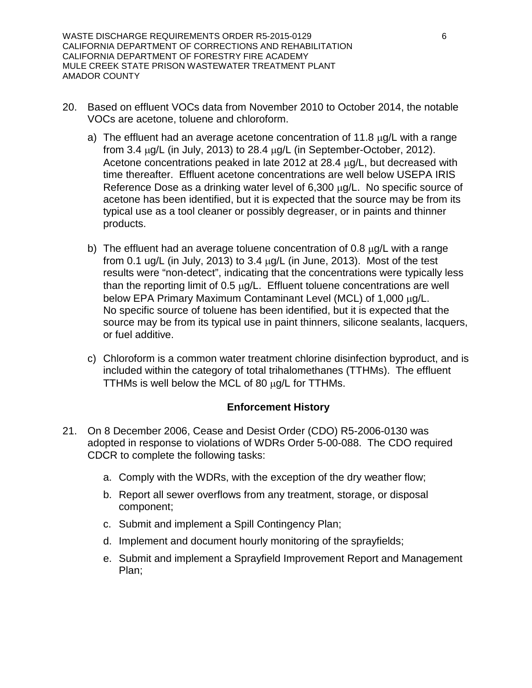WASTE DISCHARGE REQUIREMENTS ORDER R5-2015-0129 6 CALIFORNIA DEPARTMENT OF CORRECTIONS AND REHABILITATION CALIFORNIA DEPARTMENT OF FORESTRY FIRE ACADEMY MULE CREEK STATE PRISON WASTEWATER TREATMENT PLANT AMADOR COUNTY

- 20. Based on effluent VOCs data from November 2010 to October 2014, the notable VOCs are acetone, toluene and chloroform.
	- a) The effluent had an average acetone concentration of 11.8  $\mu$ g/L with a range from  $3.4 \mu g/L$  (in July, 2013) to 28.4  $\mu g/L$  (in September-October, 2012). Acetone concentrations peaked in late 2012 at 28.4  $\mu$ g/L, but decreased with time thereafter. Effluent acetone concentrations are well below USEPA IRIS Reference Dose as a drinking water level of 6,300 µg/L. No specific source of acetone has been identified, but it is expected that the source may be from its typical use as a tool cleaner or possibly degreaser, or in paints and thinner products.
	- b) The effluent had an average toluene concentration of 0.8  $\mu$ g/L with a range from 0.1 ug/L (in July, 2013) to 3.4  $\mu$ g/L (in June, 2013). Most of the test results were "non-detect", indicating that the concentrations were typically less than the reporting limit of 0.5  $\mu$ g/L. Effluent toluene concentrations are well below EPA Primary Maximum Contaminant Level (MCL) of 1,000 µg/L. No specific source of toluene has been identified, but it is expected that the source may be from its typical use in paint thinners, silicone sealants, lacquers, or fuel additive.
	- c) Chloroform is a common water treatment chlorine disinfection byproduct, and is included within the category of total trihalomethanes (TTHMs). The effluent TTHMs is well below the MCL of 80 µg/L for TTHMs.

### **Enforcement History**

- 21. On 8 December 2006, Cease and Desist Order (CDO) R5-2006-0130 was adopted in response to violations of WDRs Order 5-00-088. The CDO required CDCR to complete the following tasks:
	- a. Comply with the WDRs, with the exception of the dry weather flow;
	- b. Report all sewer overflows from any treatment, storage, or disposal component;
	- c. Submit and implement a Spill Contingency Plan;
	- d. Implement and document hourly monitoring of the sprayfields;
	- e. Submit and implement a Sprayfield Improvement Report and Management Plan;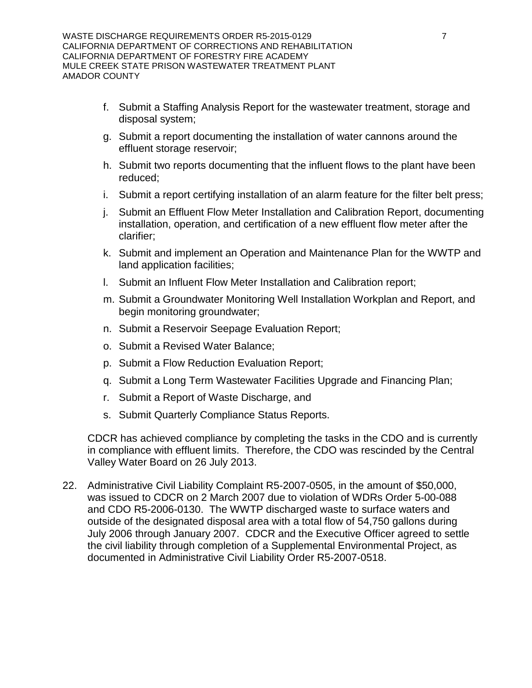- f. Submit a Staffing Analysis Report for the wastewater treatment, storage and disposal system;
- g. Submit a report documenting the installation of water cannons around the effluent storage reservoir;
- h. Submit two reports documenting that the influent flows to the plant have been reduced;
- i. Submit a report certifying installation of an alarm feature for the filter belt press;
- j. Submit an Effluent Flow Meter Installation and Calibration Report, documenting installation, operation, and certification of a new effluent flow meter after the clarifier;
- k. Submit and implement an Operation and Maintenance Plan for the WWTP and land application facilities;
- l. Submit an Influent Flow Meter Installation and Calibration report;
- m. Submit a Groundwater Monitoring Well Installation Workplan and Report, and begin monitoring groundwater;
- n. Submit a Reservoir Seepage Evaluation Report;
- o. Submit a Revised Water Balance;
- p. Submit a Flow Reduction Evaluation Report;
- q. Submit a Long Term Wastewater Facilities Upgrade and Financing Plan;
- r. Submit a Report of Waste Discharge, and
- s. Submit Quarterly Compliance Status Reports.

CDCR has achieved compliance by completing the tasks in the CDO and is currently in compliance with effluent limits. Therefore, the CDO was rescinded by the Central Valley Water Board on 26 July 2013.

22. Administrative Civil Liability Complaint R5-2007-0505, in the amount of \$50,000, was issued to CDCR on 2 March 2007 due to violation of WDRs Order 5-00-088 and CDO R5-2006-0130. The WWTP discharged waste to surface waters and outside of the designated disposal area with a total flow of 54,750 gallons during July 2006 through January 2007. CDCR and the Executive Officer agreed to settle the civil liability through completion of a Supplemental Environmental Project, as documented in Administrative Civil Liability Order R5-2007-0518.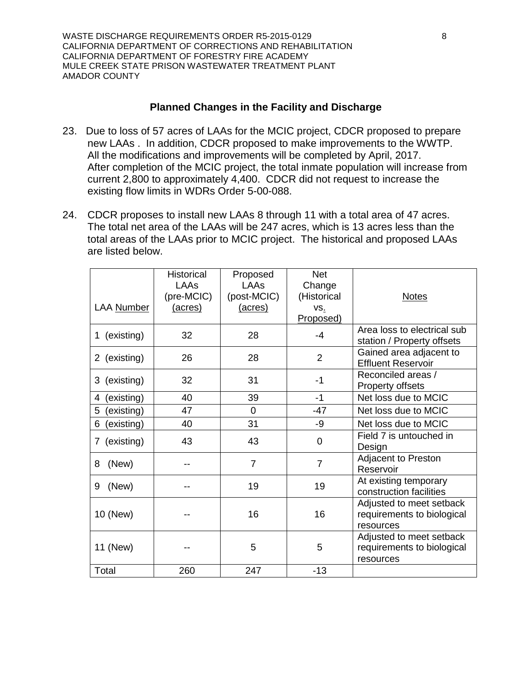WASTE DISCHARGE REQUIREMENTS ORDER R5-2015-0129 8 CALIFORNIA DEPARTMENT OF CORRECTIONS AND REHABILITATION CALIFORNIA DEPARTMENT OF FORESTRY FIRE ACADEMY MULE CREEK STATE PRISON WASTEWATER TREATMENT PLANT AMADOR COUNTY

#### **Planned Changes in the Facility and Discharge**

- 23. Due to loss of 57 acres of LAAs for the MCIC project, CDCR proposed to prepare new LAAs . In addition, CDCR proposed to make improvements to the WWTP. All the modifications and improvements will be completed by April, 2017. After completion of the MCIC project, the total inmate population will increase from current 2,800 to approximately 4,400. CDCR did not request to increase the existing flow limits in WDRs Order 5-00-088.
- 24. CDCR proposes to install new LAAs 8 through 11 with a total area of 47 acres. The total net area of the LAAs will be 247 acres, which is 13 acres less than the total areas of the LAAs prior to MCIC project. The historical and proposed LAAs are listed below.

|                 | <b>Historical</b><br>LAAs<br>(pre-MCIC) | Proposed<br>LAAs<br>(post-MCIC) | <b>Net</b><br>Change<br>(Historical | <b>Notes</b>                                                        |
|-----------------|-----------------------------------------|---------------------------------|-------------------------------------|---------------------------------------------------------------------|
| LAA Number      | (acres)                                 | (acres)                         | VS.<br>Proposed)                    |                                                                     |
| 1 (existing)    | 32                                      | 28                              | -4                                  | Area loss to electrical sub<br>station / Property offsets           |
| 2 (existing)    | 26                                      | 28                              | $\overline{2}$                      | Gained area adjacent to<br><b>Effluent Reservoir</b>                |
| (existing)<br>3 | 32                                      | 31                              | -1                                  | Reconciled areas /<br><b>Property offsets</b>                       |
| (existing)<br>4 | 40                                      | 39                              | -1                                  | Net loss due to MCIC                                                |
| 5<br>(existing) | 47                                      | 0                               | -47                                 | Net loss due to MCIC                                                |
| (existing)<br>6 | 40                                      | 31                              | -9                                  | Net loss due to MCIC                                                |
| 7 (existing)    | 43                                      | 43                              | $\overline{0}$                      | Field 7 is untouched in<br>Design                                   |
| 8<br>(New)      |                                         | $\overline{7}$                  | $\overline{7}$                      | Adjacent to Preston<br>Reservoir                                    |
| (New)<br>9      |                                         | 19                              | 19                                  | At existing temporary<br>construction facilities                    |
| 10 (New)        |                                         | 16                              | 16                                  | Adjusted to meet setback<br>requirements to biological<br>resources |
| 11 (New)        |                                         | 5                               | 5                                   | Adjusted to meet setback<br>requirements to biological<br>resources |
| Total           | 260                                     | 247                             | $-13$                               |                                                                     |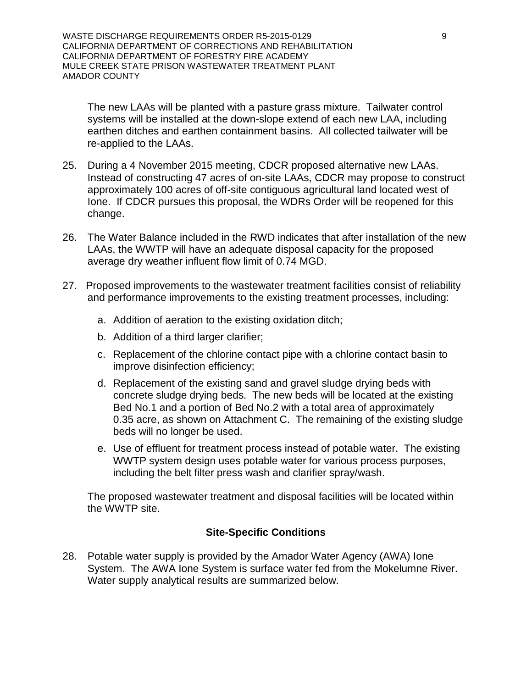WASTE DISCHARGE REQUIREMENTS ORDER R5-2015-0129 9 CALIFORNIA DEPARTMENT OF CORRECTIONS AND REHABILITATION CALIFORNIA DEPARTMENT OF FORESTRY FIRE ACADEMY MULE CREEK STATE PRISON WASTEWATER TREATMENT PLANT AMADOR COUNTY

The new LAAs will be planted with a pasture grass mixture. Tailwater control systems will be installed at the down-slope extend of each new LAA, including earthen ditches and earthen containment basins. All collected tailwater will be re-applied to the LAAs.

- 25. During a 4 November 2015 meeting, CDCR proposed alternative new LAAs. Instead of constructing 47 acres of on-site LAAs, CDCR may propose to construct approximately 100 acres of off-site contiguous agricultural land located west of Ione. If CDCR pursues this proposal, the WDRs Order will be reopened for this change.
- 26. The Water Balance included in the RWD indicates that after installation of the new LAAs, the WWTP will have an adequate disposal capacity for the proposed average dry weather influent flow limit of 0.74 MGD.
- 27. Proposed improvements to the wastewater treatment facilities consist of reliability and performance improvements to the existing treatment processes, including:
	- a. Addition of aeration to the existing oxidation ditch;
	- b. Addition of a third larger clarifier;
	- c. Replacement of the chlorine contact pipe with a chlorine contact basin to improve disinfection efficiency;
	- d. Replacement of the existing sand and gravel sludge drying beds with concrete sludge drying beds. The new beds will be located at the existing Bed No.1 and a portion of Bed No.2 with a total area of approximately 0.35 acre, as shown on Attachment C. The remaining of the existing sludge beds will no longer be used.
	- e. Use of effluent for treatment process instead of potable water. The existing WWTP system design uses potable water for various process purposes, including the belt filter press wash and clarifier spray/wash.

The proposed wastewater treatment and disposal facilities will be located within the WWTP site.

#### **Site-Specific Conditions**

28. Potable water supply is provided by the Amador Water Agency (AWA) Ione System. The AWA Ione System is surface water fed from the Mokelumne River. Water supply analytical results are summarized below.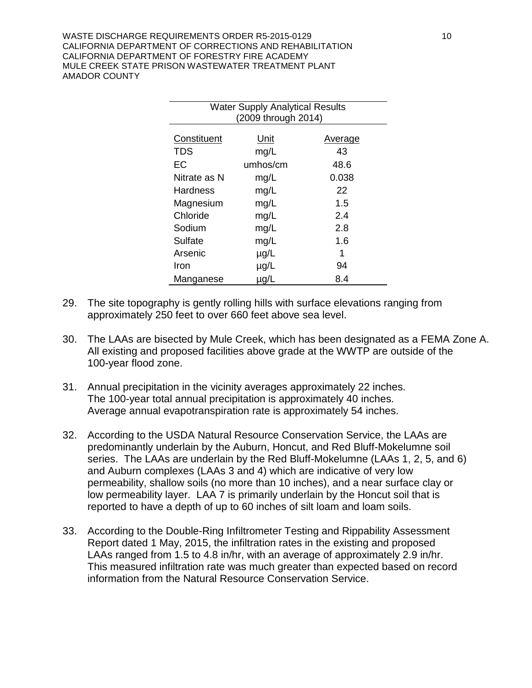WASTE DISCHARGE REQUIREMENTS ORDER R5-2015-0129 10 10 CALIFORNIA DEPARTMENT OF CORRECTIONS AND REHABILITATION CALIFORNIA DEPARTMENT OF FORESTRY FIRE ACADEMY MULE CREEK STATE PRISON WASTEWATER TREATMENT PLANT AMADOR COUNTY

| <b>Water Supply Analytical Results</b><br>(2009 through 2014) |           |                |  |
|---------------------------------------------------------------|-----------|----------------|--|
| Constituent                                                   | Unit      | <u>Average</u> |  |
| <b>TDS</b>                                                    | mg/L      | 43             |  |
| EC                                                            | umhos/cm  | 48.6           |  |
| Nitrate as N                                                  | mg/L      | 0.038          |  |
| Hardness                                                      | mg/L      | 22             |  |
| Magnesium                                                     | mg/L      | 1.5            |  |
| Chloride                                                      | mg/L      | 2.4            |  |
| Sodium                                                        | mg/L      | 2.8            |  |
| Sulfate                                                       | mg/L      | 1.6            |  |
| Arsenic                                                       | $\mu$ g/L | 1              |  |
| Iron                                                          | $\mu$ g/L | 94             |  |
| Manganese                                                     | µg/L      | 8.4            |  |

- 29. The site topography is gently rolling hills with surface elevations ranging from approximately 250 feet to over 660 feet above sea level.
- 30. The LAAs are bisected by Mule Creek, which has been designated as a FEMA Zone A. All existing and proposed facilities above grade at the WWTP are outside of the 100-year flood zone.
- 31. Annual precipitation in the vicinity averages approximately 22 inches. The 100-year total annual precipitation is approximately 40 inches. Average annual evapotranspiration rate is approximately 54 inches.
- 32. According to the USDA Natural Resource Conservation Service, the LAAs are predominantly underlain by the Auburn, Honcut, and Red Bluff-Mokelumne soil series. The LAAs are underlain by the Red Bluff-Mokelumne (LAAs 1, 2, 5, and 6) and Auburn complexes (LAAs 3 and 4) which are indicative of very low permeability, shallow soils (no more than 10 inches), and a near surface clay or low permeability layer. LAA 7 is primarily underlain by the Honcut soil that is reported to have a depth of up to 60 inches of silt loam and loam soils.
- 33. According to the Double-Ring Infiltrometer Testing and Rippability Assessment Report dated 1 May, 2015, the infiltration rates in the existing and proposed LAAs ranged from 1.5 to 4.8 in/hr, with an average of approximately 2.9 in/hr. This measured infiltration rate was much greater than expected based on record information from the Natural Resource Conservation Service.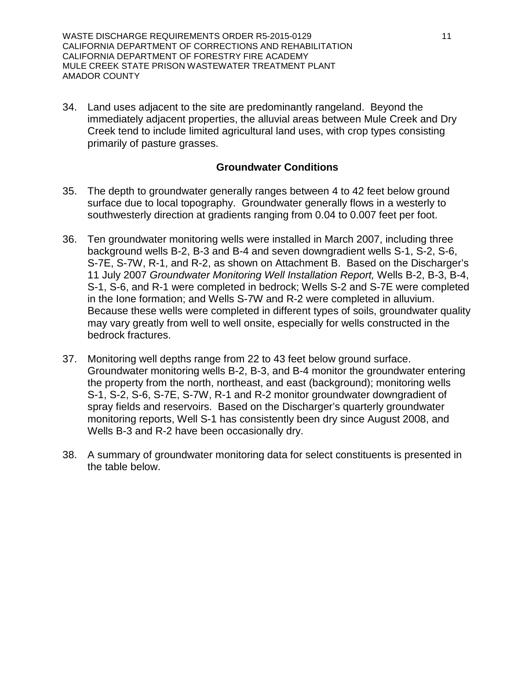WASTE DISCHARGE REQUIREMENTS ORDER R5-2015-0129 11 CALIFORNIA DEPARTMENT OF CORRECTIONS AND REHABILITATION CALIFORNIA DEPARTMENT OF FORESTRY FIRE ACADEMY MULE CREEK STATE PRISON WASTEWATER TREATMENT PLANT AMADOR COUNTY

34. Land uses adjacent to the site are predominantly rangeland. Beyond the immediately adjacent properties, the alluvial areas between Mule Creek and Dry Creek tend to include limited agricultural land uses, with crop types consisting primarily of pasture grasses.

#### **Groundwater Conditions**

- 35. The depth to groundwater generally ranges between 4 to 42 feet below ground surface due to local topography. Groundwater generally flows in a westerly to southwesterly direction at gradients ranging from 0.04 to 0.007 feet per foot.
- 36. Ten groundwater monitoring wells were installed in March 2007, including three background wells B-2, B-3 and B-4 and seven downgradient wells S-1, S-2, S-6, S-7E, S-7W, R-1, and R-2, as shown on Attachment B. Based on the Discharger's 11 July 2007 *Groundwater Monitoring Well Installation Report,* Wells B-2, B-3, B-4, S-1, S-6, and R-1 were completed in bedrock; Wells S-2 and S-7E were completed in the Ione formation; and Wells S-7W and R-2 were completed in alluvium. Because these wells were completed in different types of soils, groundwater quality may vary greatly from well to well onsite, especially for wells constructed in the bedrock fractures.
- 37. Monitoring well depths range from 22 to 43 feet below ground surface. Groundwater monitoring wells B-2, B-3, and B-4 monitor the groundwater entering the property from the north, northeast, and east (background); monitoring wells S-1, S-2, S-6, S-7E, S-7W, R-1 and R-2 monitor groundwater downgradient of spray fields and reservoirs. Based on the Discharger's quarterly groundwater monitoring reports, Well S-1 has consistently been dry since August 2008, and Wells B-3 and R-2 have been occasionally dry.
- 38. A summary of groundwater monitoring data for select constituents is presented in the table below.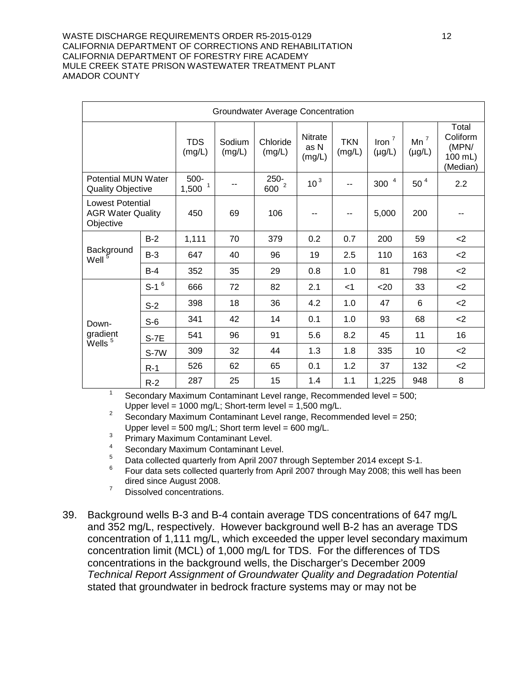#### WASTE DISCHARGE REQUIREMENTS ORDER R5-2015-0129 12 CALIFORNIA DEPARTMENT OF CORRECTIONS AND REHABILITATION CALIFORNIA DEPARTMENT OF FORESTRY FIRE ACADEMY MULE CREEK STATE PRISON WASTEWATER TREATMENT PLANT AMADOR COUNTY

| Groundwater Average Concentration                                |                    |                              |                  |                             |                                  |                      |                                |                       |                                                   |
|------------------------------------------------------------------|--------------------|------------------------------|------------------|-----------------------------|----------------------------------|----------------------|--------------------------------|-----------------------|---------------------------------------------------|
|                                                                  |                    | <b>TDS</b><br>(mg/L)         | Sodium<br>(mg/L) | Chloride<br>(mg/L)          | <b>Nitrate</b><br>as N<br>(mg/L) | <b>TKN</b><br>(mg/L) | $\text{Iron}^7$<br>$(\mu g/L)$ | $Mn^7$<br>$(\mu g/L)$ | Total<br>Coliform<br>(MPN/<br>100 mL)<br>(Median) |
| <b>Potential MUN Water</b><br><b>Quality Objective</b>           |                    | 500-<br>$1,500$ <sup>1</sup> | $- -$            | $250 -$<br>600 <sup>2</sup> | 10 <sup>3</sup>                  | $-$                  | $\overline{4}$<br>300          | $50^4$                | 2.2                                               |
| <b>Lowest Potential</b><br><b>AGR Water Quality</b><br>Objective |                    | 450                          | 69               | 106                         |                                  | $-$                  | 5,000                          | 200                   |                                                   |
|                                                                  | $B-2$              | 1,111                        | 70               | 379                         | 0.2                              | 0.7                  | 200                            | 59                    | $<$ 2                                             |
| Background<br>Well                                               | $B-3$              | 647                          | 40               | 96                          | 19                               | 2.5                  | 110                            | 163                   | $<$ 2                                             |
|                                                                  | $B-4$              | 352                          | 35               | 29                          | 0.8                              | 1.0                  | 81                             | 798                   | $<$ 2                                             |
|                                                                  | $S-1$ <sup>6</sup> | 666                          | 72               | 82                          | 2.1                              | $<$ 1                | $20$                           | 33                    | $<$ 2                                             |
|                                                                  | $S-2$              | 398                          | 18               | 36                          | 4.2                              | 1.0                  | 47                             | 6                     | $<$ 2                                             |
| Down-                                                            | $S-6$              | 341                          | 42               | 14                          | 0.1                              | 1.0                  | 93                             | 68                    | <                                                 |
| gradient<br>$\mathrm{\check{W}}$ ells $^5$                       | $S-7E$             | 541                          | 96               | 91                          | 5.6                              | 8.2                  | 45                             | 11                    | 16                                                |
|                                                                  | S-7W               | 309                          | 32               | 44                          | 1.3                              | 1.8                  | 335                            | 10                    | $2$                                               |
|                                                                  | $R-1$              | 526                          | 62               | 65                          | 0.1                              | 1.2                  | 37                             | 132                   | $<$ 2                                             |
|                                                                  | $R-2$              | 287                          | 25               | 15                          | 1.4                              | 1.1                  | 1,225                          | 948                   | 8                                                 |

<sup>1</sup> Secondary Maximum Contaminant Level range, Recommended level =  $500$ ; Upper level = 1000 mg/L; Short-term level =  $1,500$  mg/L.

<sup>2</sup> Secondary Maximum Contaminant Level range, Recommended level = 250; Upper level =  $500 \text{ mg/L}$ ; Short term level =  $600 \text{ mg/L}$ .

- <sup>3</sup> Primary Maximum Contaminant Level.
- $^{4}$  Secondary Maximum Contaminant Level.
- $^{5}$  Data collected quarterly from April 2007 through September 2014 except S-1.<br> $^{6}$  Four data cate collected guarterly from April 2007 through May 2009; this well
- <sup>6</sup> Four data sets collected quarterly from April 2007 through May 2008; this well has been dired since August 2008.
- <sup>7</sup> Dissolved concentrations.
- 39. Background wells B-3 and B-4 contain average TDS concentrations of 647 mg/L and 352 mg/L, respectively. However background well B-2 has an average TDS concentration of 1,111 mg/L, which exceeded the upper level secondary maximum concentration limit (MCL) of 1,000 mg/L for TDS. For the differences of TDS concentrations in the background wells, the Discharger's December 2009 *Technical Report Assignment of Groundwater Quality and Degradation Potential* stated that groundwater in bedrock fracture systems may or may not be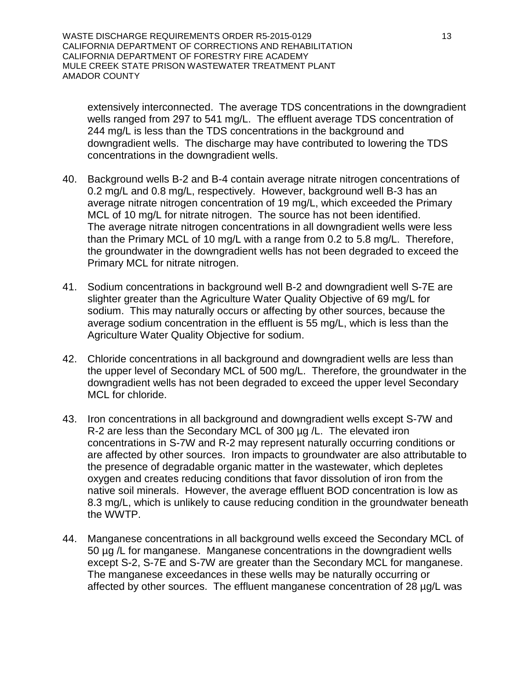WASTE DISCHARGE REQUIREMENTS ORDER R5-2015-0129 13 CALIFORNIA DEPARTMENT OF CORRECTIONS AND REHABILITATION CALIFORNIA DEPARTMENT OF FORESTRY FIRE ACADEMY MULE CREEK STATE PRISON WASTEWATER TREATMENT PLANT AMADOR COUNTY

extensively interconnected. The average TDS concentrations in the downgradient wells ranged from 297 to 541 mg/L. The effluent average TDS concentration of 244 mg/L is less than the TDS concentrations in the background and downgradient wells. The discharge may have contributed to lowering the TDS concentrations in the downgradient wells.

- 40. Background wells B-2 and B-4 contain average nitrate nitrogen concentrations of 0.2 mg/L and 0.8 mg/L, respectively. However, background well B-3 has an average nitrate nitrogen concentration of 19 mg/L, which exceeded the Primary MCL of 10 mg/L for nitrate nitrogen. The source has not been identified. The average nitrate nitrogen concentrations in all downgradient wells were less than the Primary MCL of 10 mg/L with a range from 0.2 to 5.8 mg/L. Therefore, the groundwater in the downgradient wells has not been degraded to exceed the Primary MCL for nitrate nitrogen.
- 41. Sodium concentrations in background well B-2 and downgradient well S-7E are slighter greater than the Agriculture Water Quality Objective of 69 mg/L for sodium. This may naturally occurs or affecting by other sources, because the average sodium concentration in the effluent is 55 mg/L, which is less than the Agriculture Water Quality Objective for sodium.
- 42. Chloride concentrations in all background and downgradient wells are less than the upper level of Secondary MCL of 500 mg/L. Therefore, the groundwater in the downgradient wells has not been degraded to exceed the upper level Secondary MCL for chloride.
- 43. Iron concentrations in all background and downgradient wells except S-7W and R-2 are less than the Secondary MCL of 300 µg /L. The elevated iron concentrations in S-7W and R-2 may represent naturally occurring conditions or are affected by other sources. Iron impacts to groundwater are also attributable to the presence of degradable organic matter in the wastewater, which depletes oxygen and creates reducing conditions that favor dissolution of iron from the native soil minerals. However, the average effluent BOD concentration is low as 8.3 mg/L, which is unlikely to cause reducing condition in the groundwater beneath the WWTP.
- 44. Manganese concentrations in all background wells exceed the Secondary MCL of 50 µg /L for manganese. Manganese concentrations in the downgradient wells except S-2, S-7E and S-7W are greater than the Secondary MCL for manganese. The manganese exceedances in these wells may be naturally occurring or affected by other sources. The effluent manganese concentration of 28 µg/L was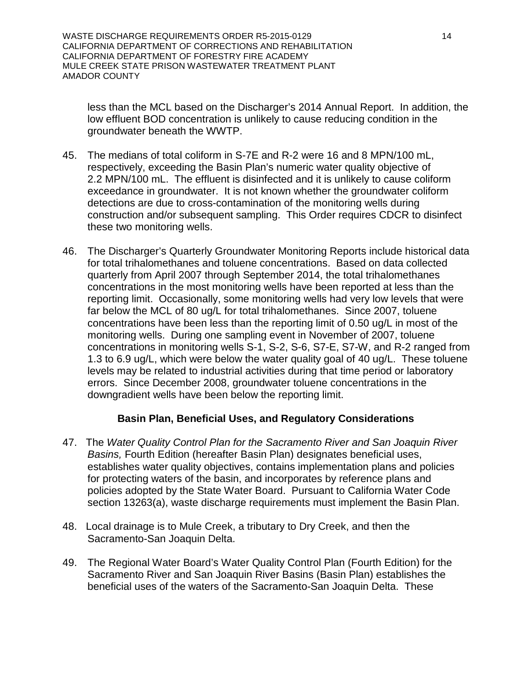WASTE DISCHARGE REQUIREMENTS ORDER R5-2015-0129 14 CALIFORNIA DEPARTMENT OF CORRECTIONS AND REHABILITATION CALIFORNIA DEPARTMENT OF FORESTRY FIRE ACADEMY MULE CREEK STATE PRISON WASTEWATER TREATMENT PLANT AMADOR COUNTY

less than the MCL based on the Discharger's 2014 Annual Report. In addition, the low effluent BOD concentration is unlikely to cause reducing condition in the groundwater beneath the WWTP.

- 45. The medians of total coliform in S-7E and R-2 were 16 and 8 MPN/100 mL, respectively, exceeding the Basin Plan's numeric water quality objective of 2.2 MPN/100 mL. The effluent is disinfected and it is unlikely to cause coliform exceedance in groundwater. It is not known whether the groundwater coliform detections are due to cross-contamination of the monitoring wells during construction and/or subsequent sampling. This Order requires CDCR to disinfect these two monitoring wells.
- 46. The Discharger's Quarterly Groundwater Monitoring Reports include historical data for total trihalomethanes and toluene concentrations. Based on data collected quarterly from April 2007 through September 2014, the total trihalomethanes concentrations in the most monitoring wells have been reported at less than the reporting limit. Occasionally, some monitoring wells had very low levels that were far below the MCL of 80 ug/L for total trihalomethanes. Since 2007, toluene concentrations have been less than the reporting limit of 0.50 ug/L in most of the monitoring wells. During one sampling event in November of 2007, toluene concentrations in monitoring wells S-1, S-2, S-6, S7-E, S7-W, and R-2 ranged from 1.3 to 6.9 ug/L, which were below the water quality goal of 40 ug/L. These toluene levels may be related to industrial activities during that time period or laboratory errors. Since December 2008, groundwater toluene concentrations in the downgradient wells have been below the reporting limit.

### **Basin Plan, Beneficial Uses, and Regulatory Considerations**

- 47. The *Water Quality Control Plan for the Sacramento River and San Joaquin River Basins,* Fourth Edition (hereafter Basin Plan) designates beneficial uses, establishes water quality objectives, contains implementation plans and policies for protecting waters of the basin, and incorporates by reference plans and policies adopted by the State Water Board. Pursuant to California Water Code section 13263(a), waste discharge requirements must implement the Basin Plan.
- 48. Local drainage is to Mule Creek, a tributary to Dry Creek, and then the Sacramento-San Joaquin Delta.
- 49. The Regional Water Board's Water Quality Control Plan (Fourth Edition) for the Sacramento River and San Joaquin River Basins (Basin Plan) establishes the beneficial uses of the waters of the Sacramento-San Joaquin Delta. These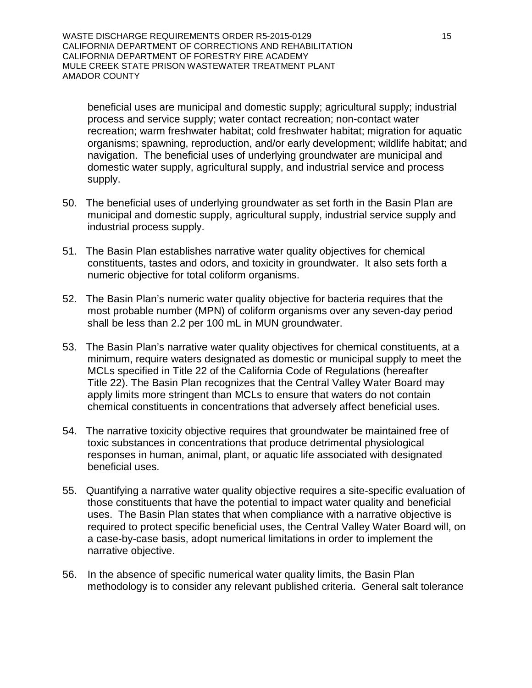WASTE DISCHARGE REQUIREMENTS ORDER R5-2015-0129 15 CALIFORNIA DEPARTMENT OF CORRECTIONS AND REHABILITATION CALIFORNIA DEPARTMENT OF FORESTRY FIRE ACADEMY MULE CREEK STATE PRISON WASTEWATER TREATMENT PLANT AMADOR COUNTY

beneficial uses are municipal and domestic supply; agricultural supply; industrial process and service supply; water contact recreation; non-contact water recreation; warm freshwater habitat; cold freshwater habitat; migration for aquatic organisms; spawning, reproduction, and/or early development; wildlife habitat; and navigation. The beneficial uses of underlying groundwater are municipal and domestic water supply, agricultural supply, and industrial service and process supply.

- 50. The beneficial uses of underlying groundwater as set forth in the Basin Plan are municipal and domestic supply, agricultural supply, industrial service supply and industrial process supply.
- 51. The Basin Plan establishes narrative water quality objectives for chemical constituents, tastes and odors, and toxicity in groundwater. It also sets forth a numeric objective for total coliform organisms.
- 52. The Basin Plan's numeric water quality objective for bacteria requires that the most probable number (MPN) of coliform organisms over any seven-day period shall be less than 2.2 per 100 mL in MUN groundwater.
- 53. The Basin Plan's narrative water quality objectives for chemical constituents, at a minimum, require waters designated as domestic or municipal supply to meet the MCLs specified in Title 22 of the California Code of Regulations (hereafter Title 22). The Basin Plan recognizes that the Central Valley Water Board may apply limits more stringent than MCLs to ensure that waters do not contain chemical constituents in concentrations that adversely affect beneficial uses.
- 54. The narrative toxicity objective requires that groundwater be maintained free of toxic substances in concentrations that produce detrimental physiological responses in human, animal, plant, or aquatic life associated with designated beneficial uses.
- 55. Quantifying a narrative water quality objective requires a site-specific evaluation of those constituents that have the potential to impact water quality and beneficial uses. The Basin Plan states that when compliance with a narrative objective is required to protect specific beneficial uses, the Central Valley Water Board will, on a case-by-case basis, adopt numerical limitations in order to implement the narrative objective.
- 56. In the absence of specific numerical water quality limits, the Basin Plan methodology is to consider any relevant published criteria. General salt tolerance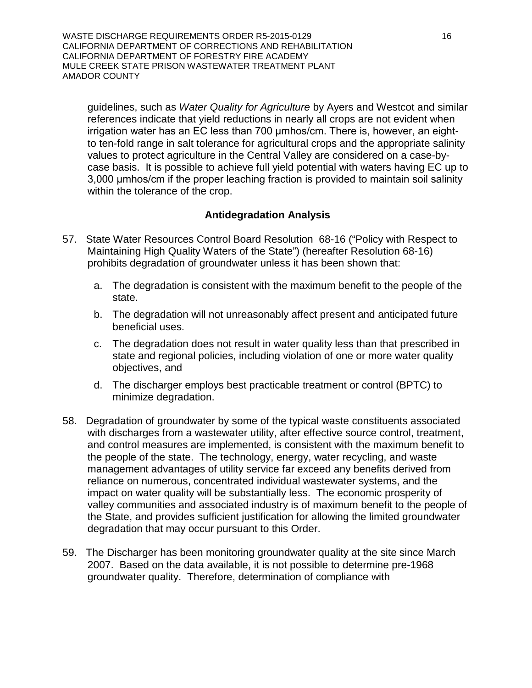WASTE DISCHARGE REQUIREMENTS ORDER R5-2015-0129 16 16 CALIFORNIA DEPARTMENT OF CORRECTIONS AND REHABILITATION CALIFORNIA DEPARTMENT OF FORESTRY FIRE ACADEMY MULE CREEK STATE PRISON WASTEWATER TREATMENT PLANT AMADOR COUNTY

guidelines, such as *Water Quality for Agriculture* by Ayers and Westcot and similar references indicate that yield reductions in nearly all crops are not evident when irrigation water has an EC less than 700 μmhos/cm. There is, however, an eightto ten-fold range in salt tolerance for agricultural crops and the appropriate salinity values to protect agriculture in the Central Valley are considered on a case-bycase basis. It is possible to achieve full yield potential with waters having EC up to 3,000 umhos/cm if the proper leaching fraction is provided to maintain soil salinity within the tolerance of the crop.

### **Antidegradation Analysis**

- 57. State Water Resources Control Board Resolution 68-16 ("Policy with Respect to Maintaining High Quality Waters of the State") (hereafter Resolution 68-16) prohibits degradation of groundwater unless it has been shown that:
	- a. The degradation is consistent with the maximum benefit to the people of the state.
	- b. The degradation will not unreasonably affect present and anticipated future beneficial uses.
	- c. The degradation does not result in water quality less than that prescribed in state and regional policies, including violation of one or more water quality objectives, and
	- d. The discharger employs best practicable treatment or control (BPTC) to minimize degradation.
- 58. Degradation of groundwater by some of the typical waste constituents associated with discharges from a wastewater utility, after effective source control, treatment, and control measures are implemented, is consistent with the maximum benefit to the people of the state. The technology, energy, water recycling, and waste management advantages of utility service far exceed any benefits derived from reliance on numerous, concentrated individual wastewater systems, and the impact on water quality will be substantially less.The economic prosperity of valley communities and associated industry is of maximum benefit to the people of the State, and provides sufficient justification for allowing the limited groundwater degradation that may occur pursuant to this Order.
- 59. The Discharger has been monitoring groundwater quality at the site since March 2007. Based on the data available, it is not possible to determine pre-1968 groundwater quality. Therefore, determination of compliance with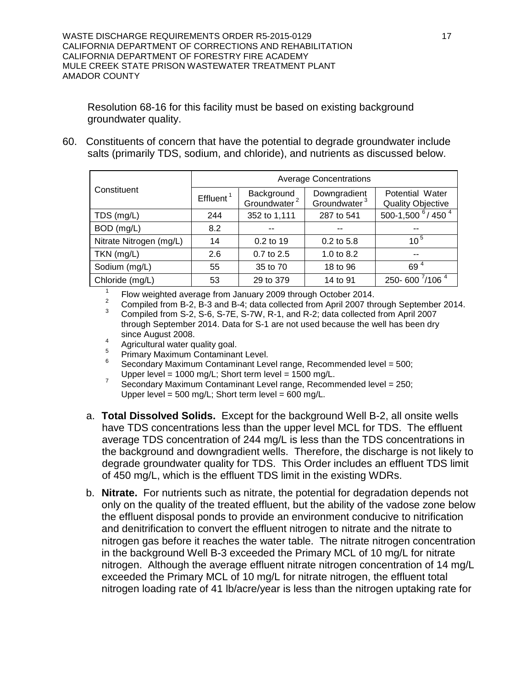Resolution 68-16 for this facility must be based on existing background groundwater quality.

60. Constituents of concern that have the potential to degrade groundwater include salts (primarily TDS, sodium, and chloride), and nutrients as discussed below.

|                         | <b>Average Concentrations</b> |                                        |                                          |                                             |  |
|-------------------------|-------------------------------|----------------------------------------|------------------------------------------|---------------------------------------------|--|
| Constituent             | Effluent <sup>1</sup>         | Background<br>Groundwater <sup>2</sup> | Downgradient<br>Groundwater <sup>3</sup> | Potential Water<br><b>Quality Objective</b> |  |
| TDS (mg/L)              | 244                           | 352 to 1,111                           | 287 to 541                               | 500-1,500 $^{6}$ / 450 $^{4}$               |  |
| BOD (mg/L)              | 8.2                           |                                        | --                                       | --                                          |  |
| Nitrate Nitrogen (mg/L) | 14                            | $0.2$ to 19                            | $0.2$ to 5.8                             | $10^{5}$                                    |  |
| TKN (mg/L)              | 2.6                           | 0.7 to 2.5                             | 1.0 to 8.2                               | --                                          |  |
| Sodium (mg/L)           | 55                            | 35 to 70                               | 18 to 96                                 | 69 <sup>4</sup>                             |  |
| Chloride (mg/L)         | 53                            | 29 to 379                              | 14 to 91                                 | 250-600 7/106 4                             |  |

<sup>1</sup> Flow weighted average from January 2009 through October 2014.<br><sup>2</sup> Compiled from B-2, B-3 and B-4; data collected from April 2007 through September 2014.

<sup>3</sup> Compiled from S-2, S-6, S-7E, S-7W, R-1, and R-2; data collected from April 2007 through September 2014. Data for S-1 are not used because the well has been dry since August 2008.<br>Agricultural water quality goal.

- 
- 
- 4 Agricultural water quality goal.<br>
<sup>5</sup> Primary Maximum Contaminant Level.<br>
<sup>6</sup> Secondary Maximum Contaminant Level range, Recommended level = 500;<br>
Upper level = 1000 mg/L; Short term level = 1500 mg/L.
- $U<sup>7</sup>$  Secondary Maximum Contaminant Level range, Recommended level = 250; Upper level = 500 mg/L; Short term level = 600 mg/L.
- a. **Total Dissolved Solids.** Except for the background Well B-2, all onsite wells have TDS concentrations less than the upper level MCL for TDS. The effluent average TDS concentration of 244 mg/L is less than the TDS concentrations in the background and downgradient wells. Therefore, the discharge is not likely to degrade groundwater quality for TDS. This Order includes an effluent TDS limit of 450 mg/L, which is the effluent TDS limit in the existing WDRs.
- b. **Nitrate.** For nutrients such as nitrate, the potential for degradation depends not only on the quality of the treated effluent, but the ability of the vadose zone below the effluent disposal ponds to provide an environment conducive to nitrification and denitrification to convert the effluent nitrogen to nitrate and the nitrate to nitrogen gas before it reaches the water table. The nitrate nitrogen concentration in the background Well B-3 exceeded the Primary MCL of 10 mg/L for nitrate nitrogen. Although the average effluent nitrate nitrogen concentration of 14 mg/L exceeded the Primary MCL of 10 mg/L for nitrate nitrogen, the effluent total nitrogen loading rate of 41 lb/acre/year is less than the nitrogen uptaking rate for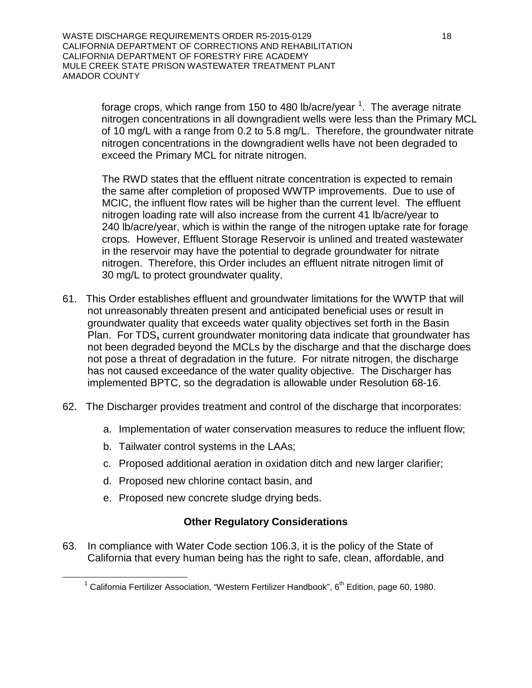WASTE DISCHARGE REQUIREMENTS ORDER R5-2015-0129 18 CALIFORNIA DEPARTMENT OF CORRECTIONS AND REHABILITATION CALIFORNIA DEPARTMENT OF FORESTRY FIRE ACADEMY MULE CREEK STATE PRISON WASTEWATER TREATMENT PLANT AMADOR COUNTY

forage crops, which range from [1](#page-17-0)50 to 480 lb/acre/year  $^{\text{1}}$ . The average nitrate  $^{\text{2}}$ nitrogen concentrations in all downgradient wells were less than the Primary MCL of 10 mg/L with a range from 0.2 to 5.8 mg/L. Therefore, the groundwater nitrate nitrogen concentrations in the downgradient wells have not been degraded to exceed the Primary MCL for nitrate nitrogen.

The RWD states that the effluent nitrate concentration is expected to remain the same after completion of proposed WWTP improvements. Due to use of MCIC, the influent flow rates will be higher than the current level. The effluent nitrogen loading rate will also increase from the current 41 lb/acre/year to 240 lb/acre/year, which is within the range of the nitrogen uptake rate for forage crops. However, Effluent Storage Reservoir is unlined and treated wastewater in the reservoir may have the potential to degrade groundwater for nitrate nitrogen. Therefore, this Order includes an effluent nitrate nitrogen limit of 30 mg/L to protect groundwater quality.

- 61. This Order establishes effluent and groundwater limitations for the WWTP that will not unreasonably threaten present and anticipated beneficial uses or result in groundwater quality that exceeds water quality objectives set forth in the Basin Plan. For TDS**,** current groundwater monitoring data indicate that groundwater has not been degraded beyond the MCLs by the discharge and that the discharge does not pose a threat of degradation in the future. For nitrate nitrogen, the discharge has not caused exceedance of the water quality objective. The Discharger has implemented BPTC, so the degradation is allowable under Resolution 68-16.
- 62. The Discharger provides treatment and control of the discharge that incorporates:
	- a. Implementation of water conservation measures to reduce the influent flow;
	- b. Tailwater control systems in the LAAs;
	- c. Proposed additional aeration in oxidation ditch and new larger clarifier;
	- d. Proposed new chlorine contact basin, and
	- e. Proposed new concrete sludge drying beds.

### **Other Regulatory Considerations**

<span id="page-17-0"></span>63. In compliance with Water Code section 106.3, it is the policy of the State of California that every human being has the right to safe, clean, affordable, and

<sup>&</sup>lt;sup>1</sup> California Fertilizer Association, "Western Fertilizer Handbook",  $6<sup>th</sup>$  Edition, page 60, 1980.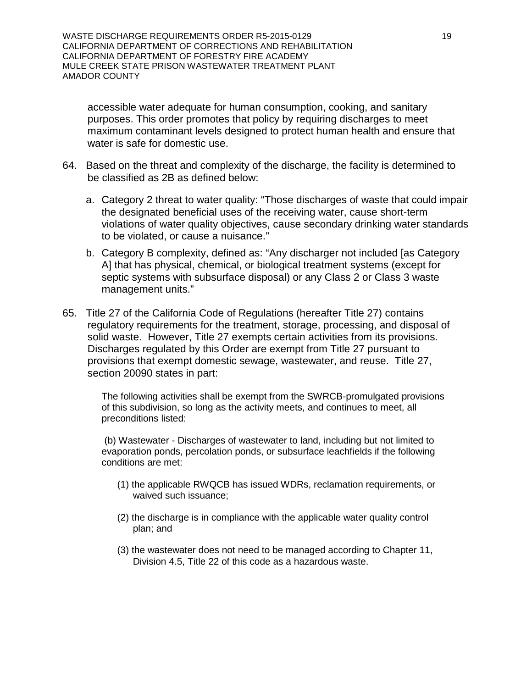WASTE DISCHARGE REQUIREMENTS ORDER R5-2015-0129 19 19 CALIFORNIA DEPARTMENT OF CORRECTIONS AND REHABILITATION CALIFORNIA DEPARTMENT OF FORESTRY FIRE ACADEMY MULE CREEK STATE PRISON WASTEWATER TREATMENT PLANT AMADOR COUNTY

accessible water adequate for human consumption, cooking, and sanitary purposes. This order promotes that policy by requiring discharges to meet maximum contaminant levels designed to protect human health and ensure that water is safe for domestic use.

- 64. Based on the threat and complexity of the discharge, the facility is determined to be classified as 2B as defined below:
	- a. Category 2 threat to water quality: "Those discharges of waste that could impair the designated beneficial uses of the receiving water, cause short-term violations of water quality objectives, cause secondary drinking water standards to be violated, or cause a nuisance."
	- b. Category B complexity, defined as: "Any discharger not included [as Category A] that has physical, chemical, or biological treatment systems (except for septic systems with subsurface disposal) or any Class 2 or Class 3 waste management units."
- 65. Title 27 of the California Code of Regulations (hereafter Title 27) contains regulatory requirements for the treatment, storage, processing, and disposal of solid waste. However, Title 27 exempts certain activities from its provisions. Discharges regulated by this Order are exempt from Title 27 pursuant to provisions that exempt domestic sewage, wastewater, and reuse. Title 27, section 20090 states in part:

The following activities shall be exempt from the SWRCB-promulgated provisions of this subdivision, so long as the activity meets, and continues to meet, all preconditions listed:

(b) Wastewater - Discharges of wastewater to land, including but not limited to evaporation ponds, percolation ponds, or subsurface leachfields if the following conditions are met:

- (1) the applicable RWQCB has issued WDRs, reclamation requirements, or waived such issuance;
- (2) the discharge is in compliance with the applicable water quality control plan; and
- (3) the wastewater does not need to be managed according to Chapter 11, Division 4.5, Title 22 of this code as a hazardous waste.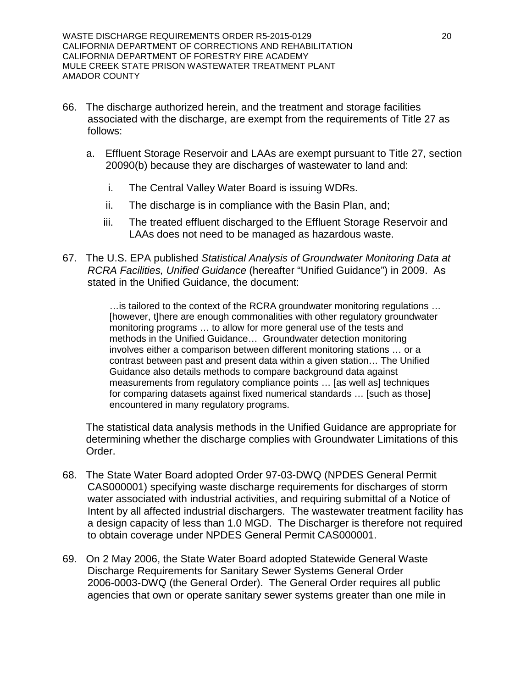WASTE DISCHARGE REQUIREMENTS ORDER R5-2015-0129 20 CALIFORNIA DEPARTMENT OF CORRECTIONS AND REHABILITATION CALIFORNIA DEPARTMENT OF FORESTRY FIRE ACADEMY MULE CREEK STATE PRISON WASTEWATER TREATMENT PLANT AMADOR COUNTY

- 66. The discharge authorized herein, and the treatment and storage facilities associated with the discharge, are exempt from the requirements of Title 27 as follows:
	- a. Effluent Storage Reservoir and LAAs are exempt pursuant to Title 27, section 20090(b) because they are discharges of wastewater to land and:
		- i. The Central Valley Water Board is issuing WDRs.
		- ii. The discharge is in compliance with the Basin Plan, and;
		- iii. The treated effluent discharged to the Effluent Storage Reservoir and LAAs does not need to be managed as hazardous waste.
- 67. The U.S. EPA published *Statistical Analysis of Groundwater Monitoring Data at RCRA Facilities, Unified Guidance* (hereafter "Unified Guidance") in 2009. As stated in the Unified Guidance, the document:

…is tailored to the context of the RCRA groundwater monitoring regulations … [however, t]here are enough commonalities with other regulatory groundwater monitoring programs … to allow for more general use of the tests and methods in the Unified Guidance… Groundwater detection monitoring involves either a comparison between different monitoring stations … or a contrast between past and present data within a given station… The Unified Guidance also details methods to compare background data against measurements from regulatory compliance points … [as well as] techniques for comparing datasets against fixed numerical standards … [such as those] encountered in many regulatory programs.

The statistical data analysis methods in the Unified Guidance are appropriate for determining whether the discharge complies with Groundwater Limitations of this Order.

- 68. The State Water Board adopted Order 97-03-DWQ (NPDES General Permit CAS000001) specifying waste discharge requirements for discharges of storm water associated with industrial activities, and requiring submittal of a Notice of Intent by all affected industrial dischargers. The wastewater treatment facility has a design capacity of less than 1.0 MGD. The Discharger is therefore not required to obtain coverage under NPDES General Permit CAS000001.
- 69. On 2 May 2006, the State Water Board adopted Statewide General Waste Discharge Requirements for Sanitary Sewer Systems General Order 2006-0003-DWQ (the General Order). The General Order requires all public agencies that own or operate sanitary sewer systems greater than one mile in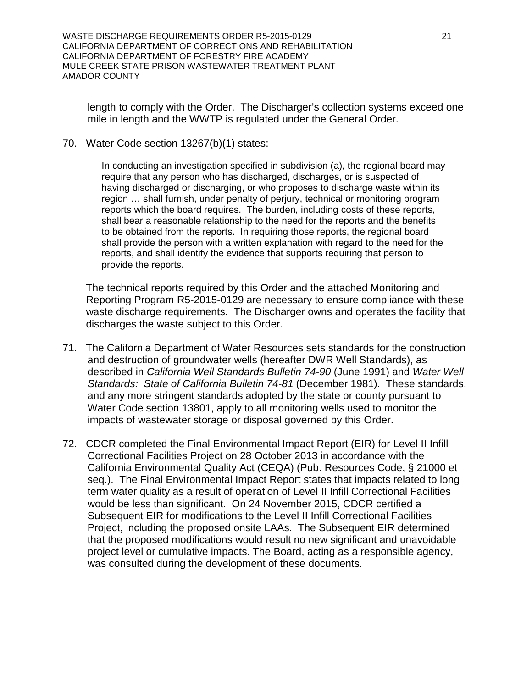WASTE DISCHARGE REQUIREMENTS ORDER R5-2015-0129 21 CALIFORNIA DEPARTMENT OF CORRECTIONS AND REHABILITATION CALIFORNIA DEPARTMENT OF FORESTRY FIRE ACADEMY MULE CREEK STATE PRISON WASTEWATER TREATMENT PLANT AMADOR COUNTY

length to comply with the Order. The Discharger's collection systems exceed one mile in length and the WWTP is regulated under the General Order.

70. Water Code section 13267(b)(1) states:

In conducting an investigation specified in subdivision (a), the regional board may require that any person who has discharged, discharges, or is suspected of having discharged or discharging, or who proposes to discharge waste within its region … shall furnish, under penalty of perjury, technical or monitoring program reports which the board requires. The burden, including costs of these reports, shall bear a reasonable relationship to the need for the reports and the benefits to be obtained from the reports. In requiring those reports, the regional board shall provide the person with a written explanation with regard to the need for the reports, and shall identify the evidence that supports requiring that person to provide the reports.

The technical reports required by this Order and the attached Monitoring and Reporting Program R5-2015-0129 are necessary to ensure compliance with these waste discharge requirements. The Discharger owns and operates the facility that discharges the waste subject to this Order.

- 71. The California Department of Water Resources sets standards for the construction and destruction of groundwater wells (hereafter DWR Well Standards), as described in *California Well Standards Bulletin 74-90* (June 1991) and *Water Well Standards: State of California Bulletin 74-81* (December 1981). These standards, and any more stringent standards adopted by the state or county pursuant to Water Code section 13801, apply to all monitoring wells used to monitor the impacts of wastewater storage or disposal governed by this Order.
- 72. CDCR completed the Final Environmental Impact Report (EIR) for Level II Infill Correctional Facilities Project on 28 October 2013 in accordance with the California Environmental Quality Act (CEQA) (Pub. Resources Code, § 21000 et seq.). The Final Environmental Impact Report states that impacts related to long term water quality as a result of operation of Level II Infill Correctional Facilities would be less than significant. On 24 November 2015, CDCR certified a Subsequent EIR for modifications to the Level II Infill Correctional Facilities Project, including the proposed onsite LAAs. The Subsequent EIR determined that the proposed modifications would result no new significant and unavoidable project level or cumulative impacts. The Board, acting as a responsible agency, was consulted during the development of these documents.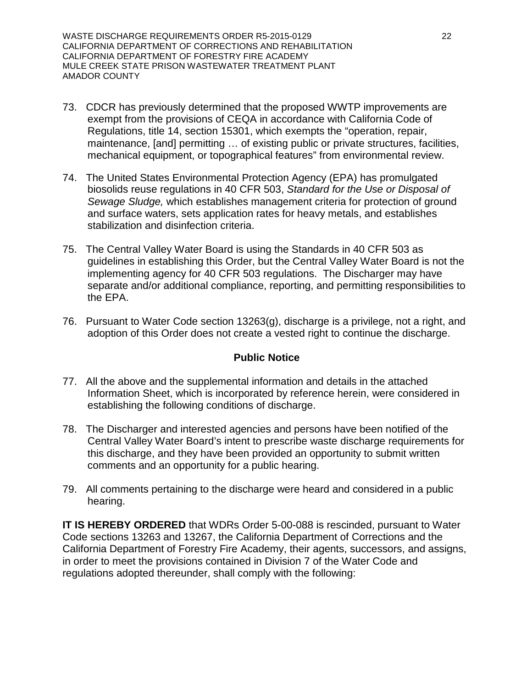WASTE DISCHARGE REQUIREMENTS ORDER R5-2015-0129 22 CALIFORNIA DEPARTMENT OF CORRECTIONS AND REHABILITATION CALIFORNIA DEPARTMENT OF FORESTRY FIRE ACADEMY MULE CREEK STATE PRISON WASTEWATER TREATMENT PLANT AMADOR COUNTY

- 73. CDCR has previously determined that the proposed WWTP improvements are exempt from the provisions of CEQA in accordance with California Code of Regulations, title 14, section 15301, which exempts the "operation, repair, maintenance, [and] permitting … of existing public or private structures, facilities, mechanical equipment, or topographical features" from environmental review.
- 74. The United States Environmental Protection Agency (EPA) has promulgated biosolids reuse regulations in 40 CFR 503, *Standard for the Use or Disposal of Sewage Sludge,* which establishes management criteria for protection of ground and surface waters, sets application rates for heavy metals, and establishes stabilization and disinfection criteria.
- 75. The Central Valley Water Board is using the Standards in 40 CFR 503 as guidelines in establishing this Order, but the Central Valley Water Board is not the implementing agency for 40 CFR 503 regulations. The Discharger may have separate and/or additional compliance, reporting, and permitting responsibilities to the EPA.
- 76. Pursuant to Water Code section 13263(g), discharge is a privilege, not a right, and adoption of this Order does not create a vested right to continue the discharge.

### **Public Notice**

- 77. All the above and the supplemental information and details in the attached Information Sheet, which is incorporated by reference herein, were considered in establishing the following conditions of discharge.
- 78. The Discharger and interested agencies and persons have been notified of the Central Valley Water Board's intent to prescribe waste discharge requirements for this discharge, and they have been provided an opportunity to submit written comments and an opportunity for a public hearing.
- 79. All comments pertaining to the discharge were heard and considered in a public hearing.

**IT IS HEREBY ORDERED** that WDRs Order 5-00-088 is rescinded, pursuant to Water Code sections 13263 and 13267, the California Department of Corrections and the California Department of Forestry Fire Academy, their agents, successors, and assigns, in order to meet the provisions contained in Division 7 of the Water Code and regulations adopted thereunder, shall comply with the following: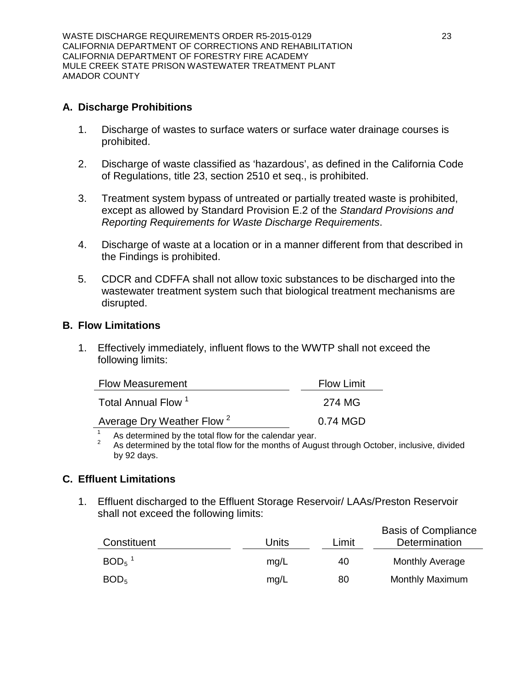WASTE DISCHARGE REQUIREMENTS ORDER R5-2015-0129 23 CALIFORNIA DEPARTMENT OF CORRECTIONS AND REHABILITATION CALIFORNIA DEPARTMENT OF FORESTRY FIRE ACADEMY MULE CREEK STATE PRISON WASTEWATER TREATMENT PLANT AMADOR COUNTY

### **A. Discharge Prohibitions**

- 1. Discharge of wastes to surface waters or surface water drainage courses is prohibited.
- 2. Discharge of waste classified as 'hazardous', as defined in the California Code of Regulations, title 23, section 2510 et seq., is prohibited.
- 3. Treatment system bypass of untreated or partially treated waste is prohibited, except as allowed by Standard Provision E.2 of the *Standard Provisions and Reporting Requirements for Waste Discharge Requirements*.
- 4. Discharge of waste at a location or in a manner different from that described in the Findings is prohibited.
- 5. CDCR and CDFFA shall not allow toxic substances to be discharged into the wastewater treatment system such that biological treatment mechanisms are disrupted.

### **B. Flow Limitations**

1. Effectively immediately, influent flows to the WWTP shall not exceed the following limits:

| <b>Flow Measurement</b>               | <b>Flow Limit</b> |
|---------------------------------------|-------------------|
| Total Annual Flow <sup>1</sup>        | 274 MG            |
| Average Dry Weather Flow <sup>2</sup> | 0.74 MGD          |

<sup>1</sup> As determined by the total flow for the calendar year.<br><sup>2</sup> As determined by the total flow for the months of August through October, inclusive, divided

by 92 days.

# **C. Effluent Limitations**

1. Effluent discharged to the Effluent Storage Reservoir/ LAAs/Preston Reservoir shall not exceed the following limits:

| Constituent         | Units | Limit | <b>Basis of Compliance</b><br>Determination |
|---------------------|-------|-------|---------------------------------------------|
| $BOD5$ <sup>1</sup> | mq/L  | 40    | <b>Monthly Average</b>                      |
| BOD <sub>5</sub>    | mq/L  | 80    | <b>Monthly Maximum</b>                      |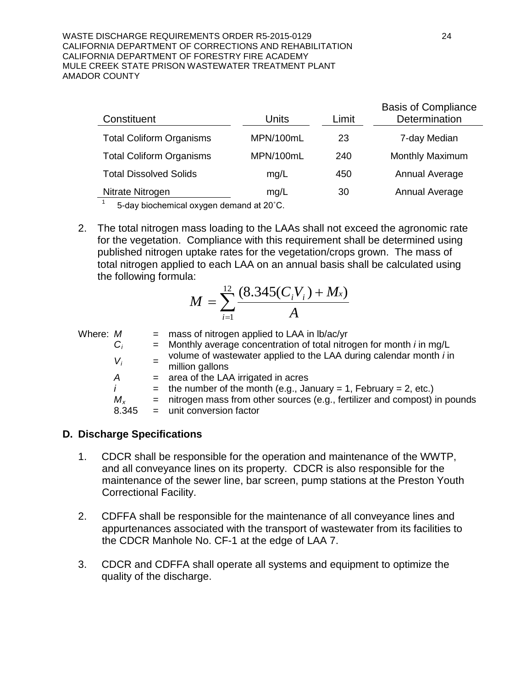#### WASTE DISCHARGE REQUIREMENTS ORDER R5-2015-0129 24 CALIFORNIA DEPARTMENT OF CORRECTIONS AND REHABILITATION CALIFORNIA DEPARTMENT OF FORESTRY FIRE ACADEMY MULE CREEK STATE PRISON WASTEWATER TREATMENT PLANT AMADOR COUNTY

|           | Limit             | Determination   |
|-----------|-------------------|-----------------|
| MPN/100mL | 23                | 7-day Median    |
| MPN/100mL | 240               | Monthly Maximum |
| mg/L      | 450               | Annual Average  |
| mg/L      | 30                | Annual Average  |
|           | Units<br>$\cdots$ |                 |

5-day biochemical oxygen demand at 20°C.

2. The total nitrogen mass loading to the LAAs shall not exceed the agronomic rate for the vegetation. Compliance with this requirement shall be determined using published nitrogen uptake rates for the vegetation/crops grown. The mass of total nitrogen applied to each LAA on an annual basis shall be calculated using the following formula:

$$
M = \sum_{i=1}^{12} \frac{(8.345(C_i V_i) + M_x)}{A}
$$

| Where: M |         | $=$ mass of nitrogen applied to LAA in $\frac{1}{2}$ b/ac/yr                                 |
|----------|---------|----------------------------------------------------------------------------------------------|
|          | $C_i$   | $=$ Monthly average concentration of total nitrogen for month <i>i</i> in mg/L               |
|          | $V_i$   | volume of wastewater applied to the LAA during calendar month <i>i</i> in<br>million gallons |
|          | A       | = area of the LAA irrigated in acres                                                         |
|          |         | = the number of the month (e.g., January = 1, February = 2, etc.)                            |
|          | $M_{x}$ | = nitrogen mass from other sources (e.g., fertilizer and compost) in pounds                  |
|          | 8.345   | $=$ unit conversion factor                                                                   |

### **D. Discharge Specifications**

- 1. CDCR shall be responsible for the operation and maintenance of the WWTP, and all conveyance lines on its property. CDCR is also responsible for the maintenance of the sewer line, bar screen, pump stations at the Preston Youth Correctional Facility.
- 2. CDFFA shall be responsible for the maintenance of all conveyance lines and appurtenances associated with the transport of wastewater from its facilities to the CDCR Manhole No. CF-1 at the edge of LAA 7.
- 3. CDCR and CDFFA shall operate all systems and equipment to optimize the quality of the discharge.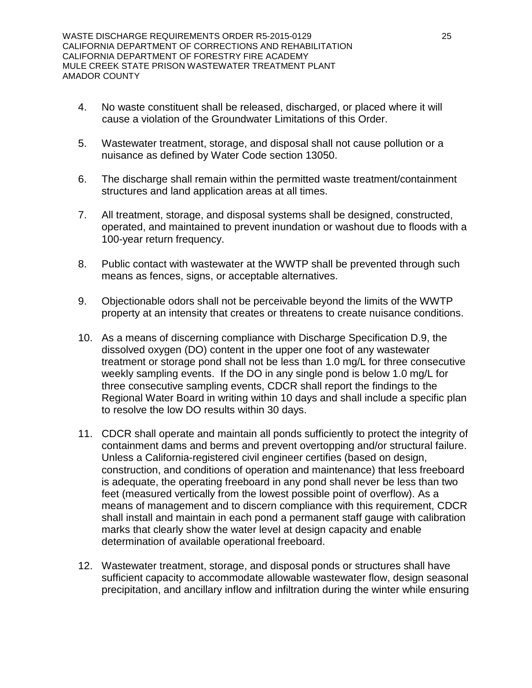- 4. No waste constituent shall be released, discharged, or placed where it will cause a violation of the Groundwater Limitations of this Order.
- 5. Wastewater treatment, storage, and disposal shall not cause pollution or a nuisance as defined by Water Code section 13050.
- 6. The discharge shall remain within the permitted waste treatment/containment structures and land application areas at all times.
- 7. All treatment, storage, and disposal systems shall be designed, constructed, operated, and maintained to prevent inundation or washout due to floods with a 100-year return frequency.
- 8. Public contact with wastewater at the WWTP shall be prevented through such means as fences, signs, or acceptable alternatives.
- 9. Objectionable odors shall not be perceivable beyond the limits of the WWTP property at an intensity that creates or threatens to create nuisance conditions.
- 10. As a means of discerning compliance with Discharge Specification D.9, the dissolved oxygen (DO) content in the upper one foot of any wastewater treatment or storage pond shall not be less than 1.0 mg/L for three consecutive weekly sampling events. If the DO in any single pond is below 1.0 mg/L for three consecutive sampling events, CDCR shall report the findings to the Regional Water Board in writing within 10 days and shall include a specific plan to resolve the low DO results within 30 days.
- 11. CDCR shall operate and maintain all ponds sufficiently to protect the integrity of containment dams and berms and prevent overtopping and/or structural failure. Unless a California-registered civil engineer certifies (based on design, construction, and conditions of operation and maintenance) that less freeboard is adequate, the operating freeboard in any pond shall never be less than two feet (measured vertically from the lowest possible point of overflow). As a means of management and to discern compliance with this requirement, CDCR shall install and maintain in each pond a permanent staff gauge with calibration marks that clearly show the water level at design capacity and enable determination of available operational freeboard.
- 12. Wastewater treatment, storage, and disposal ponds or structures shall have sufficient capacity to accommodate allowable wastewater flow, design seasonal precipitation, and ancillary inflow and infiltration during the winter while ensuring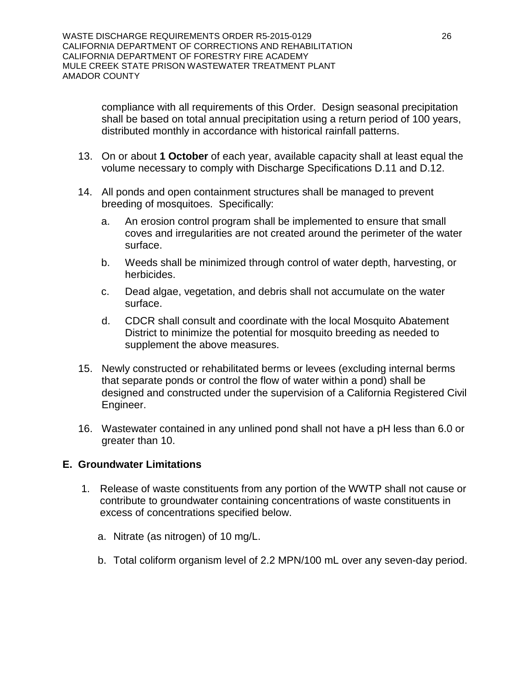compliance with all requirements of this Order. Design seasonal precipitation shall be based on total annual precipitation using a return period of 100 years, distributed monthly in accordance with historical rainfall patterns.

- 13. On or about **1 October** of each year, available capacity shall at least equal the volume necessary to comply with Discharge Specifications D.11 and D.12.
- 14. All ponds and open containment structures shall be managed to prevent breeding of mosquitoes. Specifically:
	- a. An erosion control program shall be implemented to ensure that small coves and irregularities are not created around the perimeter of the water surface.
	- b. Weeds shall be minimized through control of water depth, harvesting, or herbicides.
	- c. Dead algae, vegetation, and debris shall not accumulate on the water surface.
	- d. CDCR shall consult and coordinate with the local Mosquito Abatement District to minimize the potential for mosquito breeding as needed to supplement the above measures.
- 15. Newly constructed or rehabilitated berms or levees (excluding internal berms that separate ponds or control the flow of water within a pond) shall be designed and constructed under the supervision of a California Registered Civil Engineer.
- 16. Wastewater contained in any unlined pond shall not have a pH less than 6.0 or greater than 10.

### **E. Groundwater Limitations**

- 1. Release of waste constituents from any portion of the WWTP shall not cause or contribute to groundwater containing concentrations of waste constituents in excess of concentrations specified below.
	- a. Nitrate (as nitrogen) of 10 mg/L.
	- b. Total coliform organism level of 2.2 MPN/100 mL over any seven-day period.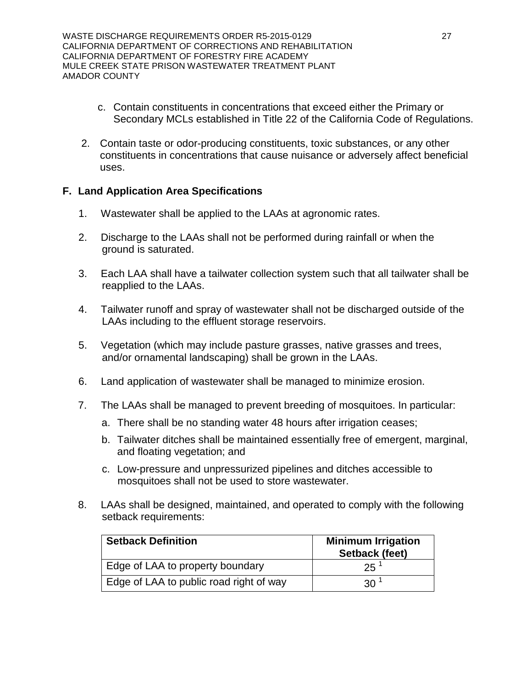WASTE DISCHARGE REQUIREMENTS ORDER R5-2015-0129 27 CALIFORNIA DEPARTMENT OF CORRECTIONS AND REHABILITATION CALIFORNIA DEPARTMENT OF FORESTRY FIRE ACADEMY MULE CREEK STATE PRISON WASTEWATER TREATMENT PLANT AMADOR COUNTY

- c. Contain constituents in concentrations that exceed either the Primary or Secondary MCLs established in Title 22 of the California Code of Regulations.
- 2. Contain taste or odor-producing constituents, toxic substances, or any other constituents in concentrations that cause nuisance or adversely affect beneficial uses.

# **F. Land Application Area Specifications**

- 1. Wastewater shall be applied to the LAAs at agronomic rates.
- 2. Discharge to the LAAs shall not be performed during rainfall or when the ground is saturated.
- 3. Each LAA shall have a tailwater collection system such that all tailwater shall be reapplied to the LAAs.
- 4. Tailwater runoff and spray of wastewater shall not be discharged outside of the LAAs including to the effluent storage reservoirs.
- 5. Vegetation (which may include pasture grasses, native grasses and trees, and/or ornamental landscaping) shall be grown in the LAAs.
- 6. Land application of wastewater shall be managed to minimize erosion.
- 7. The LAAs shall be managed to prevent breeding of mosquitoes. In particular:
	- a. There shall be no standing water 48 hours after irrigation ceases;
	- b. Tailwater ditches shall be maintained essentially free of emergent, marginal, and floating vegetation; and
	- c. Low-pressure and unpressurized pipelines and ditches accessible to mosquitoes shall not be used to store wastewater.
- 8. LAAs shall be designed, maintained, and operated to comply with the following setback requirements:

| <b>Setback Definition</b>               | <b>Minimum Irrigation</b><br>Setback (feet) |
|-----------------------------------------|---------------------------------------------|
| Edge of LAA to property boundary        | $25^{\frac{1}{2}}$                          |
| Edge of LAA to public road right of way | 30 <sup>1</sup>                             |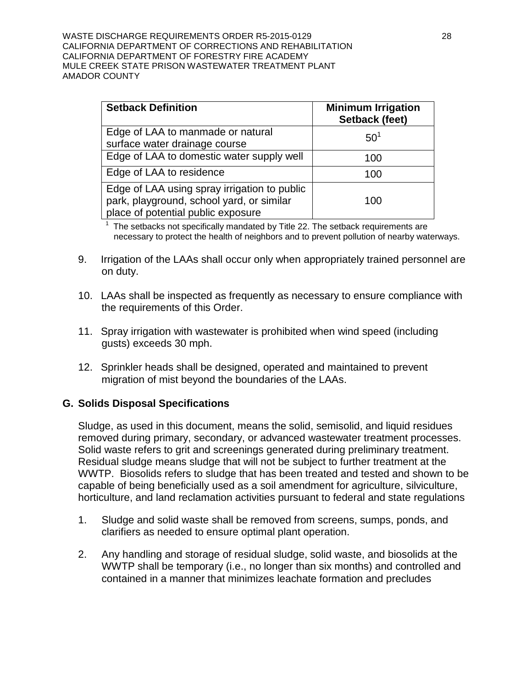WASTE DISCHARGE REQUIREMENTS ORDER R5-2015-0129 28 CALIFORNIA DEPARTMENT OF CORRECTIONS AND REHABILITATION CALIFORNIA DEPARTMENT OF FORESTRY FIRE ACADEMY MULE CREEK STATE PRISON WASTEWATER TREATMENT PLANT AMADOR COUNTY

| <b>Setback Definition</b>                                                                                                       | <b>Minimum Irrigation</b><br>Setback (feet) |
|---------------------------------------------------------------------------------------------------------------------------------|---------------------------------------------|
| Edge of LAA to manmade or natural<br>surface water drainage course                                                              | 50 <sup>1</sup>                             |
| Edge of LAA to domestic water supply well                                                                                       | 100                                         |
| Edge of LAA to residence                                                                                                        | 100                                         |
| Edge of LAA using spray irrigation to public<br>park, playground, school yard, or similar<br>place of potential public exposure | 100                                         |

 $1$  The setbacks not specifically mandated by Title 22. The setback requirements are necessary to protect the health of neighbors and to prevent pollution of nearby waterways.

- 9. Irrigation of the LAAs shall occur only when appropriately trained personnel are on duty.
- 10. LAAs shall be inspected as frequently as necessary to ensure compliance with the requirements of this Order.
- 11. Spray irrigation with wastewater is prohibited when wind speed (including gusts) exceeds 30 mph.
- 12. Sprinkler heads shall be designed, operated and maintained to prevent migration of mist beyond the boundaries of the LAAs.

### **G. Solids Disposal Specifications**

Sludge, as used in this document, means the solid, semisolid, and liquid residues removed during primary, secondary, or advanced wastewater treatment processes. Solid waste refers to grit and screenings generated during preliminary treatment. Residual sludge means sludge that will not be subject to further treatment at the WWTP. Biosolids refers to sludge that has been treated and tested and shown to be capable of being beneficially used as a soil amendment for agriculture, silviculture, horticulture, and land reclamation activities pursuant to federal and state regulations

- 1. Sludge and solid waste shall be removed from screens, sumps, ponds, and clarifiers as needed to ensure optimal plant operation.
- 2. Any handling and storage of residual sludge, solid waste, and biosolids at the WWTP shall be temporary (i.e., no longer than six months) and controlled and contained in a manner that minimizes leachate formation and precludes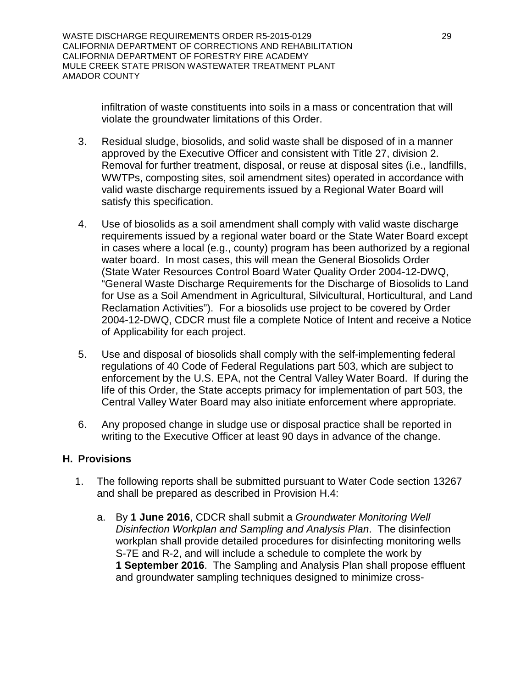WASTE DISCHARGE REQUIREMENTS ORDER R5-2015-0129 29 CALIFORNIA DEPARTMENT OF CORRECTIONS AND REHABILITATION CALIFORNIA DEPARTMENT OF FORESTRY FIRE ACADEMY MULE CREEK STATE PRISON WASTEWATER TREATMENT PLANT AMADOR COUNTY

infiltration of waste constituents into soils in a mass or concentration that will violate the groundwater limitations of this Order.

- 3. Residual sludge, biosolids, and solid waste shall be disposed of in a manner approved by the Executive Officer and consistent with Title 27, division 2. Removal for further treatment, disposal, or reuse at disposal sites (i.e., landfills, WWTPs, composting sites, soil amendment sites) operated in accordance with valid waste discharge requirements issued by a Regional Water Board will satisfy this specification.
- 4. Use of biosolids as a soil amendment shall comply with valid waste discharge requirements issued by a regional water board or the State Water Board except in cases where a local (e.g., county) program has been authorized by a regional water board. In most cases, this will mean the General Biosolids Order (State Water Resources Control Board Water Quality Order 2004-12-DWQ, "General Waste Discharge Requirements for the Discharge of Biosolids to Land for Use as a Soil Amendment in Agricultural, Silvicultural, Horticultural, and Land Reclamation Activities"). For a biosolids use project to be covered by Order 2004-12-DWQ, CDCR must file a complete Notice of Intent and receive a Notice of Applicability for each project.
- 5. Use and disposal of biosolids shall comply with the self-implementing federal regulations of 40 Code of Federal Regulations part 503, which are subject to enforcement by the U.S. EPA, not the Central Valley Water Board. If during the life of this Order, the State accepts primacy for implementation of part 503, the Central Valley Water Board may also initiate enforcement where appropriate.
- 6. Any proposed change in sludge use or disposal practice shall be reported in writing to the Executive Officer at least 90 days in advance of the change.

# **H. Provisions**

- 1. The following reports shall be submitted pursuant to Water Code section 13267 and shall be prepared as described in Provision H.4:
	- a. By **1 June 2016**, CDCR shall submit a *Groundwater Monitoring Well Disinfection Workplan and Sampling and Analysis Plan*. The disinfection workplan shall provide detailed procedures for disinfecting monitoring wells S-7E and R-2, and will include a schedule to complete the work by **1 September 2016**. The Sampling and Analysis Plan shall propose effluent and groundwater sampling techniques designed to minimize cross-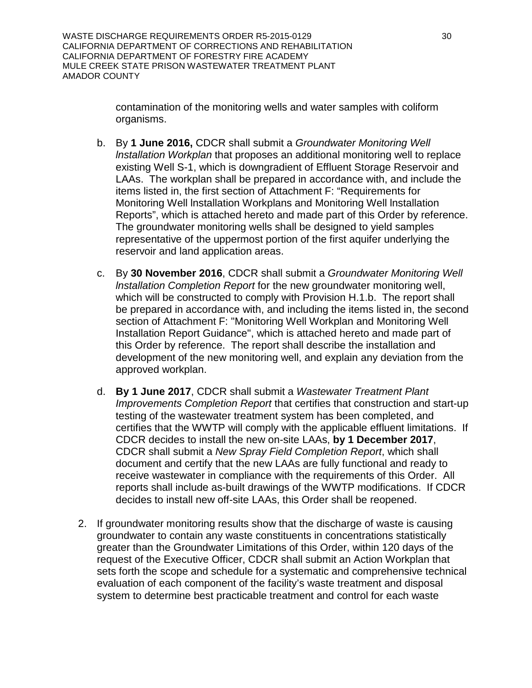contamination of the monitoring wells and water samples with coliform organisms.

- b. By **1 June 2016,** CDCR shall submit a *Groundwater Monitoring Well lnstallation Workplan* that proposes an additional monitoring well to replace existing Well S-1, which is downgradient of Effluent Storage Reservoir and LAAs. The workplan shall be prepared in accordance with, and include the items listed in, the first section of Attachment F: "Requirements for Monitoring Well lnstallation Workplans and Monitoring Well lnstallation Reports", which is attached hereto and made part of this Order by reference. The groundwater monitoring wells shall be designed to yield samples representative of the uppermost portion of the first aquifer underlying the reservoir and land application areas.
- c. By **30 November 2016**, CDCR shall submit a *Groundwater Monitoring Well lnstallation Completion Report* for the new groundwater monitoring well, which will be constructed to comply with Provision H.1.b. The report shall be prepared in accordance with, and including the items listed in, the second section of Attachment F: "Monitoring Well Workplan and Monitoring Well Installation Report Guidance", which is attached hereto and made part of this Order by reference. The report shall describe the installation and development of the new monitoring well, and explain any deviation from the approved workplan.
- d. **By 1 June 2017**, CDCR shall submit a *Wastewater Treatment Plant Improvements Completion Report* that certifies that construction and start-up testing of the wastewater treatment system has been completed, and certifies that the WWTP will comply with the applicable effluent limitations. If CDCR decides to install the new on-site LAAs, **by 1 December 2017**, CDCR shall submit a *New Spray Field Completion Report*, which shall document and certify that the new LAAs are fully functional and ready to receive wastewater in compliance with the requirements of this Order. All reports shall include as-built drawings of the WWTP modifications. If CDCR decides to install new off-site LAAs, this Order shall be reopened.
- 2. If groundwater monitoring results show that the discharge of waste is causing groundwater to contain any waste constituents in concentrations statistically greater than the Groundwater Limitations of this Order, within 120 days of the request of the Executive Officer, CDCR shall submit an Action Workplan that sets forth the scope and schedule for a systematic and comprehensive technical evaluation of each component of the facility's waste treatment and disposal system to determine best practicable treatment and control for each waste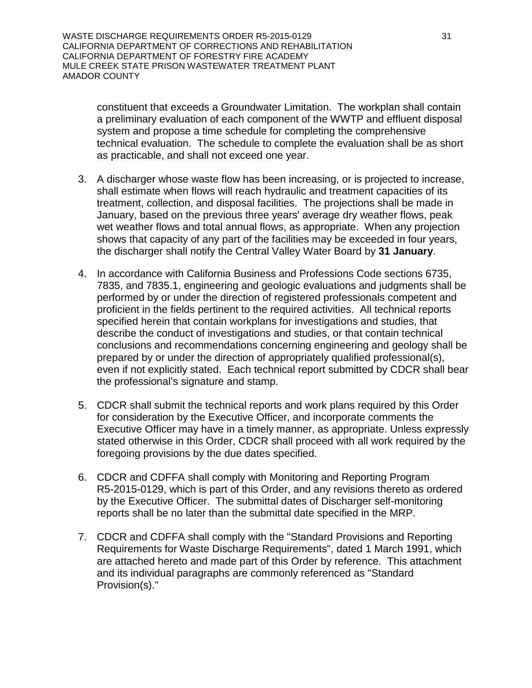WASTE DISCHARGE REQUIREMENTS ORDER R5-2015-0129 31 CALIFORNIA DEPARTMENT OF CORRECTIONS AND REHABILITATION CALIFORNIA DEPARTMENT OF FORESTRY FIRE ACADEMY MULE CREEK STATE PRISON WASTEWATER TREATMENT PLANT AMADOR COUNTY

constituent that exceeds a Groundwater Limitation. The workplan shall contain a preliminary evaluation of each component of the WWTP and effluent disposal system and propose a time schedule for completing the comprehensive technical evaluation. The schedule to complete the evaluation shall be as short as practicable, and shall not exceed one year.

- 3. A discharger whose waste flow has been increasing, or is projected to increase, shall estimate when flows will reach hydraulic and treatment capacities of its treatment, collection, and disposal facilities. The projections shall be made in January, based on the previous three years' average dry weather flows, peak wet weather flows and total annual flows, as appropriate. When any projection shows that capacity of any part of the facilities may be exceeded in four years, the discharger shall notify the Central Valley Water Board by **31 January**.
- 4. In accordance with California Business and Professions Code sections 6735, 7835, and 7835.1, engineering and geologic evaluations and judgments shall be performed by or under the direction of registered professionals competent and proficient in the fields pertinent to the required activities. All technical reports specified herein that contain workplans for investigations and studies, that describe the conduct of investigations and studies, or that contain technical conclusions and recommendations concerning engineering and geology shall be prepared by or under the direction of appropriately qualified professional(s), even if not explicitly stated. Each technical report submitted by CDCR shall bear the professional's signature and stamp.
- 5. CDCR shall submit the technical reports and work plans required by this Order for consideration by the Executive Officer, and incorporate comments the Executive Officer may have in a timely manner, as appropriate. Unless expressly stated otherwise in this Order, CDCR shall proceed with all work required by the foregoing provisions by the due dates specified.
- 6. CDCR and CDFFA shall comply with Monitoring and Reporting Program R5-2015-0129, which is part of this Order, and any revisions thereto as ordered by the Executive Officer. The submittal dates of Discharger self-monitoring reports shall be no later than the submittal date specified in the MRP.
- 7. CDCR and CDFFA shall comply with the "Standard Provisions and Reporting Requirements for Waste Discharge Requirements", dated 1 March 1991, which are attached hereto and made part of this Order by reference. This attachment and its individual paragraphs are commonly referenced as "Standard Provision(s)."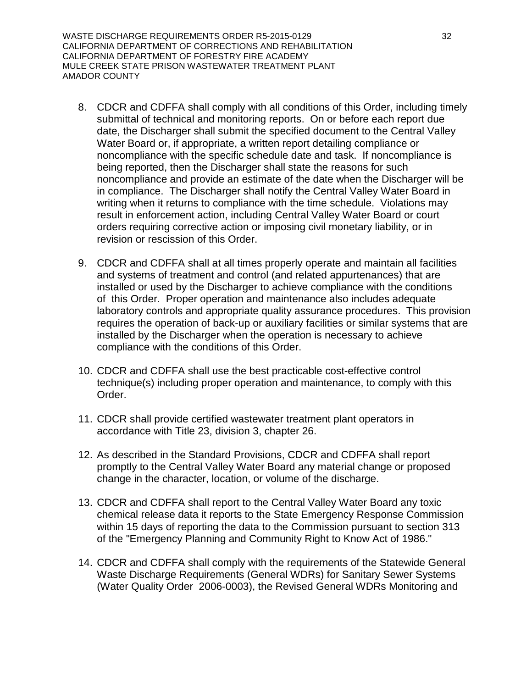WASTE DISCHARGE REQUIREMENTS ORDER R5-2015-0129 32 CALIFORNIA DEPARTMENT OF CORRECTIONS AND REHABILITATION CALIFORNIA DEPARTMENT OF FORESTRY FIRE ACADEMY MULE CREEK STATE PRISON WASTEWATER TREATMENT PLANT AMADOR COUNTY

- 8. CDCR and CDFFA shall comply with all conditions of this Order, including timely submittal of technical and monitoring reports. On or before each report due date, the Discharger shall submit the specified document to the Central Valley Water Board or, if appropriate, a written report detailing compliance or noncompliance with the specific schedule date and task. If noncompliance is being reported, then the Discharger shall state the reasons for such noncompliance and provide an estimate of the date when the Discharger will be in compliance. The Discharger shall notify the Central Valley Water Board in writing when it returns to compliance with the time schedule. Violations may result in enforcement action, including Central Valley Water Board or court orders requiring corrective action or imposing civil monetary liability, or in revision or rescission of this Order.
- 9. CDCR and CDFFA shall at all times properly operate and maintain all facilities and systems of treatment and control (and related appurtenances) that are installed or used by the Discharger to achieve compliance with the conditions of this Order. Proper operation and maintenance also includes adequate laboratory controls and appropriate quality assurance procedures. This provision requires the operation of back-up or auxiliary facilities or similar systems that are installed by the Discharger when the operation is necessary to achieve compliance with the conditions of this Order.
- 10. CDCR and CDFFA shall use the best practicable cost-effective control technique(s) including proper operation and maintenance, to comply with this Order.
- 11. CDCR shall provide certified wastewater treatment plant operators in accordance with Title 23, division 3, chapter 26.
- 12. As described in the Standard Provisions, CDCR and CDFFA shall report promptly to the Central Valley Water Board any material change or proposed change in the character, location, or volume of the discharge.
- 13. CDCR and CDFFA shall report to the Central Valley Water Board any toxic chemical release data it reports to the State Emergency Response Commission within 15 days of reporting the data to the Commission pursuant to section 313 of the "Emergency Planning and Community Right to Know Act of 1986."
- 14. CDCR and CDFFA shall comply with the requirements of the Statewide General Waste Discharge Requirements (General WDRs) for Sanitary Sewer Systems (Water Quality Order 2006-0003), the Revised General WDRs Monitoring and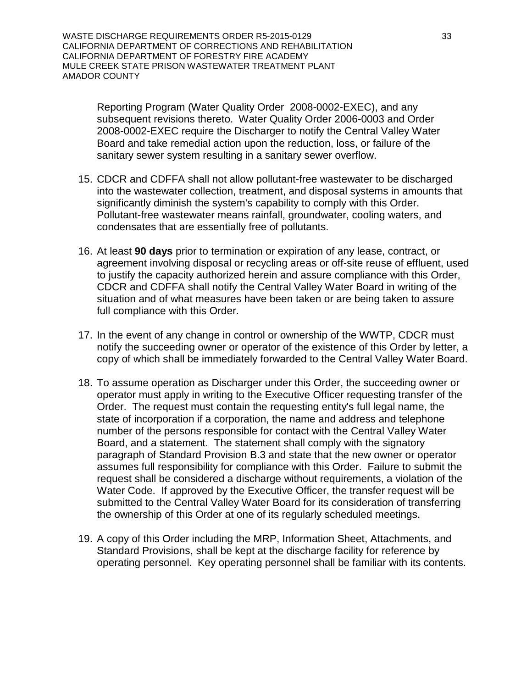WASTE DISCHARGE REQUIREMENTS ORDER R5-2015-0129 33 CALIFORNIA DEPARTMENT OF CORRECTIONS AND REHABILITATION CALIFORNIA DEPARTMENT OF FORESTRY FIRE ACADEMY MULE CREEK STATE PRISON WASTEWATER TREATMENT PLANT AMADOR COUNTY

Reporting Program (Water Quality Order 2008-0002-EXEC), and any subsequent revisions thereto. Water Quality Order 2006-0003 and Order 2008-0002-EXEC require the Discharger to notify the Central Valley Water Board and take remedial action upon the reduction, loss, or failure of the sanitary sewer system resulting in a sanitary sewer overflow.

- 15. CDCR and CDFFA shall not allow pollutant-free wastewater to be discharged into the wastewater collection, treatment, and disposal systems in amounts that significantly diminish the system's capability to comply with this Order. Pollutant-free wastewater means rainfall, groundwater, cooling waters, and condensates that are essentially free of pollutants.
- 16. At least **90 days** prior to termination or expiration of any lease, contract, or agreement involving disposal or recycling areas or off-site reuse of effluent, used to justify the capacity authorized herein and assure compliance with this Order, CDCR and CDFFA shall notify the Central Valley Water Board in writing of the situation and of what measures have been taken or are being taken to assure full compliance with this Order.
- 17. In the event of any change in control or ownership of the WWTP, CDCR must notify the succeeding owner or operator of the existence of this Order by letter, a copy of which shall be immediately forwarded to the Central Valley Water Board.
- 18. To assume operation as Discharger under this Order, the succeeding owner or operator must apply in writing to the Executive Officer requesting transfer of the Order. The request must contain the requesting entity's full legal name, the state of incorporation if a corporation, the name and address and telephone number of the persons responsible for contact with the Central Valley Water Board, and a statement. The statement shall comply with the signatory paragraph of Standard Provision B.3 and state that the new owner or operator assumes full responsibility for compliance with this Order. Failure to submit the request shall be considered a discharge without requirements, a violation of the Water Code. If approved by the Executive Officer, the transfer request will be submitted to the Central Valley Water Board for its consideration of transferring the ownership of this Order at one of its regularly scheduled meetings.
- 19. A copy of this Order including the MRP, Information Sheet, Attachments, and Standard Provisions, shall be kept at the discharge facility for reference by operating personnel. Key operating personnel shall be familiar with its contents.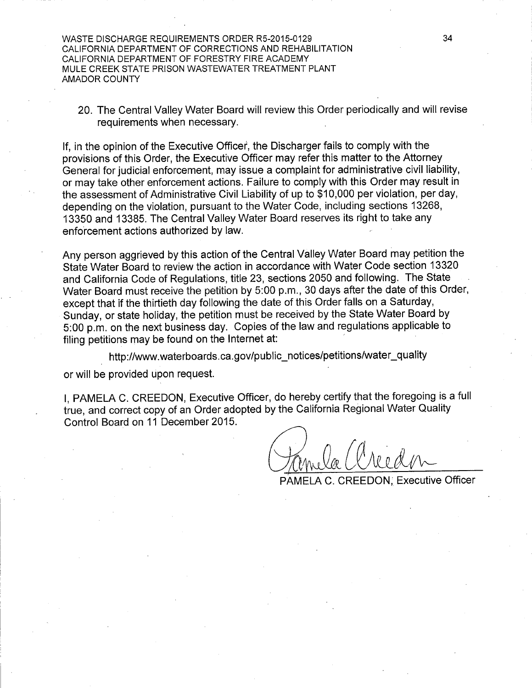WASTE DISCHARGE REQUIREMENTS ORDER R5-2015-0129 CALIFORNIA DEPARTMENT OF CORRECTIONS AND REHABILITATION CALIFORNIA DEPARTMENT OF FORESTRY FIRE ACADEMY MULE CREEK STATE PRISON WASTEWATER TREATMENT PLANT **AMADOR COUNTY** 

20. The Central Valley Water Board will review this Order periodically and will revise requirements when necessary.

If, in the opinion of the Executive Officer, the Discharger fails to comply with the provisions of this Order, the Executive Officer may refer this matter to the Attorney General for judicial enforcement, may issue a complaint for administrative civil liability, or may take other enforcement actions. Failure to comply with this Order may result in the assessment of Administrative Civil Liability of up to \$10,000 per violation, per day, depending on the violation, pursuant to the Water Code, including sections 13268. 13350 and 13385. The Central Valley Water Board reserves its right to take any enforcement actions authorized by law.

Any person aggrieved by this action of the Central Valley Water Board may petition the State Water Board to review the action in accordance with Water Code section 13320 and California Code of Regulations, title 23, sections 2050 and following. The State Water Board must receive the petition by 5:00 p.m., 30 days after the date of this Order, except that if the thirtieth day following the date of this Order falls on a Saturday, Sunday, or state holiday, the petition must be received by the State Water Board by 5:00 p.m. on the next business day. Copies of the law and regulations applicable to filing petitions may be found on the Internet at:

http://www.waterboards.ca.gov/public\_notices/petitions/water\_quality

or will be provided upon request.

I. PAMELA C. CREEDON. Executive Officer, do hereby certify that the foregoing is a full true, and correct copy of an Order adopted by the California Regional Water Quality Control Board on 11 December 2015.

PAMELA C. CREEDON, Executive Officer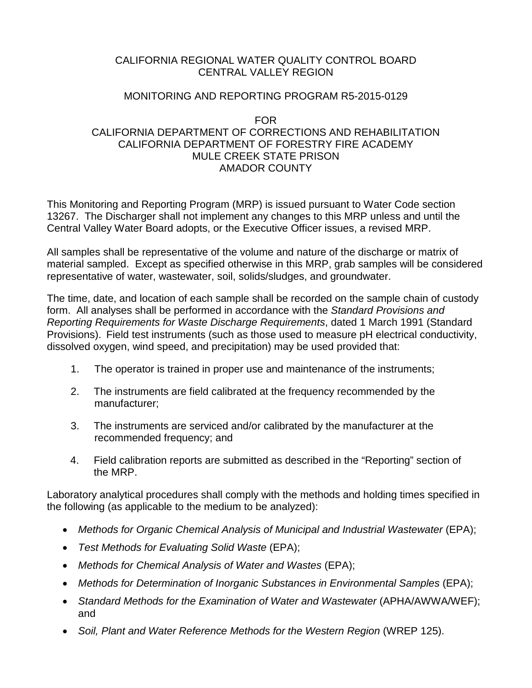## CALIFORNIA REGIONAL WATER QUALITY CONTROL BOARD CENTRAL VALLEY REGION

#### MONITORING AND REPORTING PROGRAM R5-2015-0129

#### FOR

## CALIFORNIA DEPARTMENT OF CORRECTIONS AND REHABILITATION CALIFORNIA DEPARTMENT OF FORESTRY FIRE ACADEMY MULE CREEK STATE PRISON AMADOR COUNTY

This Monitoring and Reporting Program (MRP) is issued pursuant to Water Code section 13267. The Discharger shall not implement any changes to this MRP unless and until the Central Valley Water Board adopts, or the Executive Officer issues, a revised MRP.

All samples shall be representative of the volume and nature of the discharge or matrix of material sampled. Except as specified otherwise in this MRP, grab samples will be considered representative of water, wastewater, soil, solids/sludges, and groundwater.

The time, date, and location of each sample shall be recorded on the sample chain of custody form. All analyses shall be performed in accordance with the *Standard Provisions and Reporting Requirements for Waste Discharge Requirements*, dated 1 March 1991 (Standard Provisions). Field test instruments (such as those used to measure pH electrical conductivity, dissolved oxygen, wind speed, and precipitation) may be used provided that:

- 1. The operator is trained in proper use and maintenance of the instruments;
- 2. The instruments are field calibrated at the frequency recommended by the manufacturer;
- 3. The instruments are serviced and/or calibrated by the manufacturer at the recommended frequency; and
- 4. Field calibration reports are submitted as described in the "Reporting" section of the MRP.

Laboratory analytical procedures shall comply with the methods and holding times specified in the following (as applicable to the medium to be analyzed):

- Methods for Organic Chemical Analysis of Municipal and Industrial Wastewater (EPA);
- *Test Methods for Evaluating Solid Waste* (EPA);
- *Methods for Chemical Analysis of Water and Wastes* (EPA);
- Methods for Determination of Inorganic Substances in Environmental Samples (EPA);
- Standard Methods for the Examination of Water and Wastewater (APHA/AWWA/WEF); and
- Soil, Plant and Water Reference Methods for the Western Region (WREP 125).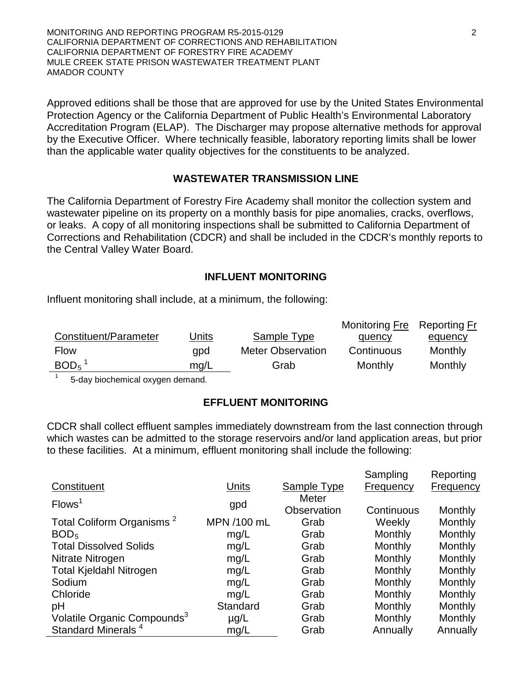MONITORING AND REPORTING PROGRAM R5-2015-0129 2 CALIFORNIA DEPARTMENT OF CORRECTIONS AND REHABILITATION CALIFORNIA DEPARTMENT OF FORESTRY FIRE ACADEMY MULE CREEK STATE PRISON WASTEWATER TREATMENT PLANT AMADOR COUNTY

Approved editions shall be those that are approved for use by the United States Environmental Protection Agency or the California Department of Public Health's Environmental Laboratory Accreditation Program (ELAP). The Discharger may propose alternative methods for approval by the Executive Officer. Where technically feasible, laboratory reporting limits shall be lower than the applicable water quality objectives for the constituents to be analyzed.

#### **WASTEWATER TRANSMISSION LINE**

The California Department of Forestry Fire Academy shall monitor the collection system and wastewater pipeline on its property on a monthly basis for pipe anomalies, cracks, overflows, or leaks. A copy of all monitoring inspections shall be submitted to California Department of Corrections and Rehabilitation (CDCR) and shall be included in the CDCR's monthly reports to the Central Valley Water Board.

#### **INFLUENT MONITORING**

Influent monitoring shall include, at a minimum, the following:

|                       |              |                          | Monitoring Fre Reporting Fr |                |
|-----------------------|--------------|--------------------------|-----------------------------|----------------|
| Constituent/Parameter | <u>Units</u> | Sample Type              | quency                      | <u>equency</u> |
| <b>Flow</b>           | qpd          | <b>Meter Observation</b> | Continuous                  | Monthly        |
| $BOD5$ <sup>1</sup>   | mg/L         | Grab                     | Monthly                     | Monthly        |

<sup>1</sup> 5-day biochemical oxygen demand.

### **EFFLUENT MONITORING**

CDCR shall collect effluent samples immediately downstream from the last connection through which wastes can be admitted to the storage reservoirs and/or land application areas, but prior to these facilities. At a minimum, effluent monitoring shall include the following:

|                                         |             |                      | Sampling   | Reporting      |
|-----------------------------------------|-------------|----------------------|------------|----------------|
| Constituent                             | Units       | Sample Type          | Frequency  | Frequency      |
| Flows <sup>1</sup>                      | gpd         | Meter<br>Observation | Continuous | Monthly        |
| Total Coliform Organisms <sup>2</sup>   | MPN /100 mL | Grab                 | Weekly     | Monthly        |
| BOD <sub>5</sub>                        | mg/L        | Grab                 | Monthly    | Monthly        |
| <b>Total Dissolved Solids</b>           | mq/L        | Grab                 | Monthly    | Monthly        |
| Nitrate Nitrogen                        | mg/L        | Grab                 | Monthly    | Monthly        |
| <b>Total Kjeldahl Nitrogen</b>          | mg/L        | Grab                 | Monthly    | Monthly        |
| Sodium                                  | mq/L        | Grab                 | Monthly    | Monthly        |
| Chloride                                | mg/L        | Grab                 | Monthly    | Monthly        |
| pH                                      | Standard    | Grab                 | Monthly    | Monthly        |
| Volatile Organic Compounds <sup>3</sup> | $\mu$ g/L   | Grab                 | Monthly    | <b>Monthly</b> |
| Standard Minerals <sup>4</sup>          | mq/L        | Grab                 | Annually   | Annually       |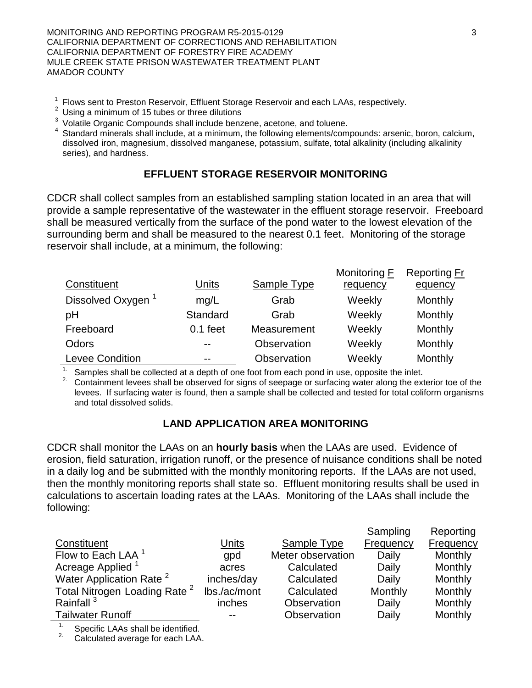MONITORING AND REPORTING PROGRAM R5-2015-0129 3 3 CALIFORNIA DEPARTMENT OF CORRECTIONS AND REHABILITATION CALIFORNIA DEPARTMENT OF FORESTRY FIRE ACADEMY MULE CREEK STATE PRISON WASTEWATER TREATMENT PLANT AMADOR COUNTY

- <sup>1</sup> Flows sent to Preston Reservoir, Effluent Storage Reservoir and each LAAs, respectively.<br><sup>2</sup> Using a minimum of 15 tubes or three dilutions<br><sup>3</sup> Volatile Organic Compounds shall include benzene, acetone, and toluene.
- 
- 
- $3$  Standard minerals shall include, at a minimum, the following elements/compounds: arsenic, boron, calcium, dissolved iron, magnesium, dissolved manganese, potassium, sulfate, total alkalinity (including alkalinity series), and hardness.

# **EFFLUENT STORAGE RESERVOIR MONITORING**

CDCR shall collect samples from an established sampling station located in an area that will provide a sample representative of the wastewater in the effluent storage reservoir. Freeboard shall be measured vertically from the surface of the pond water to the lowest elevation of the surrounding berm and shall be measured to the nearest 0.1 feet. Monitoring of the storage reservoir shall include, at a minimum, the following:

|                               |            |                    | Monitoring <b>F</b> | <b>Reporting Fr</b> |
|-------------------------------|------------|--------------------|---------------------|---------------------|
| Constituent                   | Units      | <b>Sample Type</b> | requency            | equency             |
| Dissolved Oxygen <sup>1</sup> | mq/L       | Grab               | Weekly              | Monthly             |
| pH                            | Standard   | Grab               | Weekly              | Monthly             |
| Freeboard                     | $0.1$ feet | Measurement        | Weekly              | Monthly             |
| Odors                         | $- -$      | Observation        | Weekly              | Monthly             |
| <b>Levee Condition</b>        | $- -$      | Observation        | Weekly              | Monthly             |

<sup>1.</sup> Samples shall be collected at a depth of one foot from each pond in use, opposite the inlet.<br><sup>2.</sup> Containment levees shall be observed for signs of seepage or surfacing water along the exterior toe of the levees. If surfacing water is found, then a sample shall be collected and tested for total coliform organisms and total dissolved solids.

# **LAND APPLICATION AREA MONITORING**

CDCR shall monitor the LAAs on an **hourly basis** when the LAAs are used. Evidence of erosion, field saturation, irrigation runoff, or the presence of nuisance conditions shall be noted in a daily log and be submitted with the monthly monitoring reports. If the LAAs are not used, then the monthly monitoring reports shall state so. Effluent monitoring results shall be used in calculations to ascertain loading rates at the LAAs. Monitoring of the LAAs shall include the following:

|                                          |              |                    | Sampling         | Reporting        |
|------------------------------------------|--------------|--------------------|------------------|------------------|
| Constituent                              | Units        | <b>Sample Type</b> | <b>Frequency</b> | <b>Frequency</b> |
| Flow to Each LAA <sup>1</sup>            | gpd          | Meter observation  | Daily            | Monthly          |
| Acreage Applied <sup>1</sup>             | acres        | Calculated         | Daily            | Monthly          |
| Water Application Rate <sup>2</sup>      | inches/day   | Calculated         | Daily            | Monthly          |
| Total Nitrogen Loading Rate <sup>2</sup> | lbs./ac/mont | Calculated         | Monthly          | Monthly          |
| Rainfall <sup>3</sup>                    | inches       | Observation        | Daily            | Monthly          |
| <b>Tailwater Runoff</b>                  | --           | Observation        | Daily            | Monthly          |

 $\overline{11}$  Specific LAAs shall be identified.

2. Calculated average for each LAA.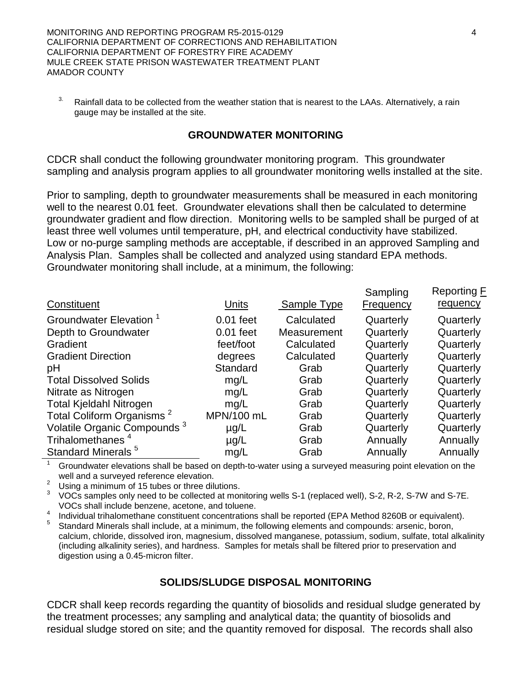MONITORING AND REPORTING PROGRAM R5-2015-0129 4 CALIFORNIA DEPARTMENT OF CORRECTIONS AND REHABILITATION CALIFORNIA DEPARTMENT OF FORESTRY FIRE ACADEMY MULE CREEK STATE PRISON WASTEWATER TREATMENT PLANT AMADOR COUNTY

<sup>3.</sup> Rainfall data to be collected from the weather station that is nearest to the LAAs. Alternatively, a rain gauge may be installed at the site.

#### **GROUNDWATER MONITORING**

CDCR shall conduct the following groundwater monitoring program. This groundwater sampling and analysis program applies to all groundwater monitoring wells installed at the site.

Prior to sampling, depth to groundwater measurements shall be measured in each monitoring well to the nearest 0.01 feet. Groundwater elevations shall then be calculated to determine groundwater gradient and flow direction. Monitoring wells to be sampled shall be purged of at least three well volumes until temperature, pH, and electrical conductivity have stabilized. Low or no-purge sampling methods are acceptable, if described in an approved Sampling and Analysis Plan. Samples shall be collected and analyzed using standard EPA methods. Groundwater monitoring shall include, at a minimum, the following:

| Constituent                             | <u>Units</u> | Sample Type | Sampling<br><b>Frequency</b> | Reporting F<br>requency |
|-----------------------------------------|--------------|-------------|------------------------------|-------------------------|
| Groundwater Elevation <sup>1</sup>      | $0.01$ feet  | Calculated  | Quarterly                    | Quarterly               |
| Depth to Groundwater                    | $0.01$ feet  | Measurement | Quarterly                    | Quarterly               |
| Gradient                                | feet/foot    | Calculated  | Quarterly                    | Quarterly               |
| <b>Gradient Direction</b>               | degrees      | Calculated  | Quarterly                    | Quarterly               |
| pH                                      | Standard     | Grab        | Quarterly                    | Quarterly               |
| <b>Total Dissolved Solids</b>           | mq/L         | Grab        | Quarterly                    | Quarterly               |
| Nitrate as Nitrogen                     | mg/L         | Grab        | Quarterly                    | Quarterly               |
| <b>Total Kjeldahl Nitrogen</b>          | mg/L         | Grab        | Quarterly                    | Quarterly               |
| Total Coliform Organisms <sup>2</sup>   | MPN/100 mL   | Grab        | Quarterly                    | Quarterly               |
| Volatile Organic Compounds <sup>3</sup> | $\mu$ g/L    | Grab        | Quarterly                    | Quarterly               |
| Trihalomethanes <sup>4</sup>            | $\mu$ g/L    | Grab        | Annually                     | Annually                |
| Standard Minerals <sup>5</sup>          | mg/L         | Grab        | Annually                     | Annually                |

Groundwater elevations shall be based on depth-to-water using a surveyed measuring point elevation on the well and a surveyed reference elevation.

<sup>2</sup> Using a minimum of 15 tubes or three dilutions.<br><sup>3</sup> VOCs samples only need to be collected at monitoring wells S-1 (replaced well), S-2, R-2, S-7W and S-7E. VOCs shall include benzene, acetone, and toluene.<br>Individual trihalomethane constituent concentrations shall be reported (EPA Method 8260B or equivalent).

Standard Minerals shall include, at a minimum, the following elements and compounds: arsenic, boron, calcium, chloride, dissolved iron, magnesium, dissolved manganese, potassium, sodium, sulfate, total alkalinity (including alkalinity series), and hardness. Samples for metals shall be filtered prior to preservation and digestion using a 0.45-micron filter.

#### **SOLIDS/SLUDGE DISPOSAL MONITORING**

CDCR shall keep records regarding the quantity of biosolids and residual sludge generated by the treatment processes; any sampling and analytical data; the quantity of biosolids and residual sludge stored on site; and the quantity removed for disposal. The records shall also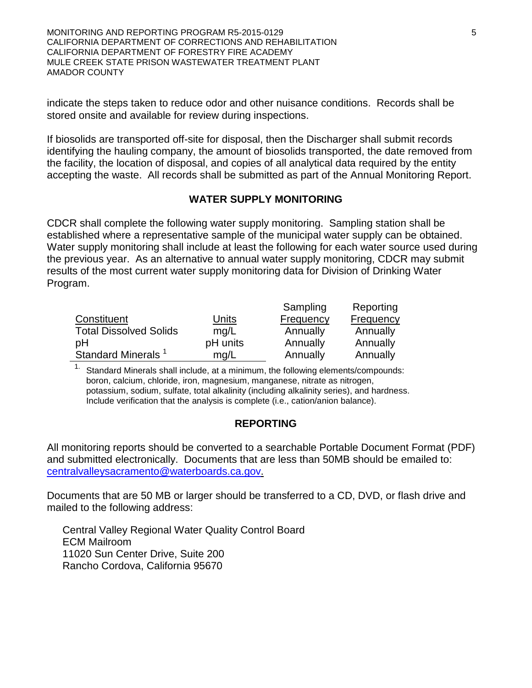MONITORING AND REPORTING PROGRAM R5-2015-0129 **5** CALIFORNIA DEPARTMENT OF CORRECTIONS AND REHABILITATION CALIFORNIA DEPARTMENT OF FORESTRY FIRE ACADEMY MULE CREEK STATE PRISON WASTEWATER TREATMENT PLANT AMADOR COUNTY

indicate the steps taken to reduce odor and other nuisance conditions. Records shall be stored onsite and available for review during inspections.

If biosolids are transported off-site for disposal, then the Discharger shall submit records identifying the hauling company, the amount of biosolids transported, the date removed from the facility, the location of disposal, and copies of all analytical data required by the entity accepting the waste. All records shall be submitted as part of the Annual Monitoring Report.

#### **WATER SUPPLY MONITORING**

CDCR shall complete the following water supply monitoring. Sampling station shall be established where a representative sample of the municipal water supply can be obtained. Water supply monitoring shall include at least the following for each water source used during the previous year. As an alternative to annual water supply monitoring, CDCR may submit results of the most current water supply monitoring data for Division of Drinking Water Program.

|                               |          | Sampling  | Reporting |
|-------------------------------|----------|-----------|-----------|
| Constituent                   | Units    | Frequency | Frequency |
| <b>Total Dissolved Solids</b> | mq/L     | Annually  | Annually  |
| pH                            | pH units | Annually  | Annually  |
| <b>Standard Minerals</b>      | mq/L     | Annually  | Annually  |

<sup>1.</sup> Standard Minerals shall include, at a minimum, the following elements/compounds: boron, calcium, chloride, iron, magnesium, manganese, nitrate as nitrogen, potassium, sodium, sulfate, total alkalinity (including alkalinity series), and hardness. Include verification that the analysis is complete (i.e., cation/anion balance).

### **REPORTING**

All monitoring reports should be converted to a searchable Portable Document Format (PDF) and submitted electronically. Documents that are less than 50MB should be emailed to: [centralvalleysacramento@waterboards.ca.gov.](mailto:centralvalleysacramento@waterboards.ca.gov)

Documents that are 50 MB or larger should be transferred to a CD, DVD, or flash drive and mailed to the following address:

Central Valley Regional Water Quality Control Board ECM Mailroom 11020 Sun Center Drive, Suite 200 Rancho Cordova, California 95670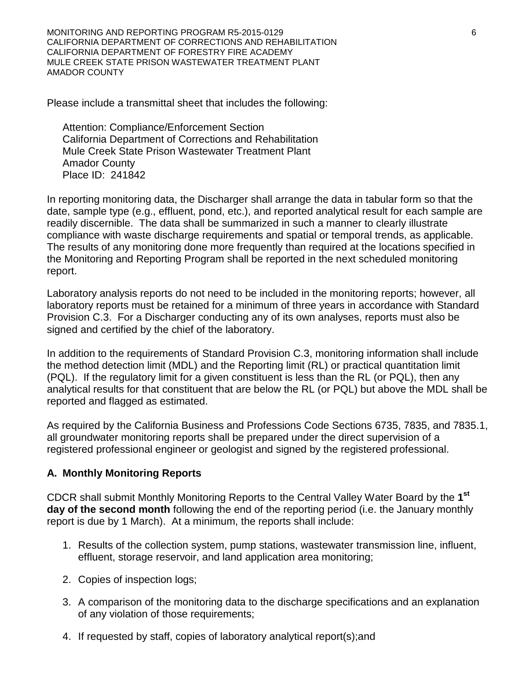MONITORING AND REPORTING PROGRAM R5-2015-0129 6 CALIFORNIA DEPARTMENT OF CORRECTIONS AND REHABILITATION CALIFORNIA DEPARTMENT OF FORESTRY FIRE ACADEMY MULE CREEK STATE PRISON WASTEWATER TREATMENT PLANT AMADOR COUNTY

Please include a transmittal sheet that includes the following:

Attention: Compliance/Enforcement Section California Department of Corrections and Rehabilitation Mule Creek State Prison Wastewater Treatment Plant Amador County Place ID: 241842

In reporting monitoring data, the Discharger shall arrange the data in tabular form so that the date, sample type (e.g., effluent, pond, etc.), and reported analytical result for each sample are readily discernible. The data shall be summarized in such a manner to clearly illustrate compliance with waste discharge requirements and spatial or temporal trends, as applicable. The results of any monitoring done more frequently than required at the locations specified in the Monitoring and Reporting Program shall be reported in the next scheduled monitoring report.

Laboratory analysis reports do not need to be included in the monitoring reports; however, all laboratory reports must be retained for a minimum of three years in accordance with Standard Provision C.3. For a Discharger conducting any of its own analyses, reports must also be signed and certified by the chief of the laboratory.

In addition to the requirements of Standard Provision C.3, monitoring information shall include the method detection limit (MDL) and the Reporting limit (RL) or practical quantitation limit (PQL). If the regulatory limit for a given constituent is less than the RL (or PQL), then any analytical results for that constituent that are below the RL (or PQL) but above the MDL shall be reported and flagged as estimated.

As required by the California Business and Professions Code Sections 6735, 7835, and 7835.1, all groundwater monitoring reports shall be prepared under the direct supervision of a registered professional engineer or geologist and signed by the registered professional.

### **A. Monthly Monitoring Reports**

CDCR shall submit Monthly Monitoring Reports to the Central Valley Water Board by the **1st day of the second month** following the end of the reporting period (i.e. the January monthly report is due by 1 March). At a minimum, the reports shall include:

- 1. Results of the collection system, pump stations, wastewater transmission line, influent, effluent, storage reservoir, and land application area monitoring;
- 2. Copies of inspection logs;
- 3. A comparison of the monitoring data to the discharge specifications and an explanation of any violation of those requirements;
- 4. If requested by staff, copies of laboratory analytical report(s);and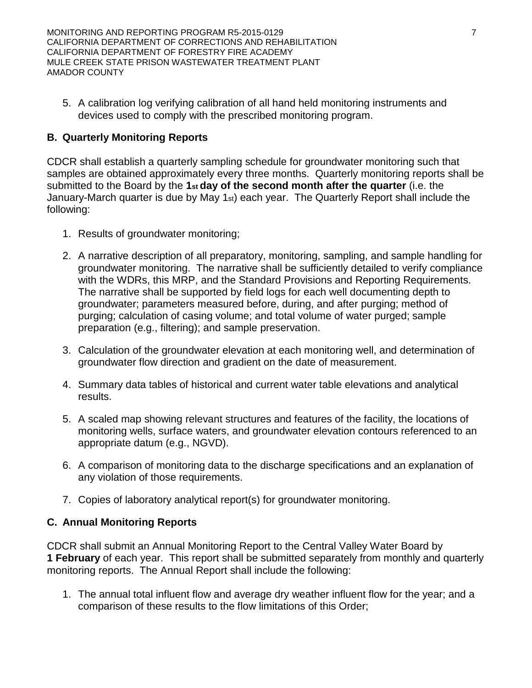MONITORING AND REPORTING PROGRAM R5-2015-0129 **7** 7 CALIFORNIA DEPARTMENT OF CORRECTIONS AND REHABILITATION CALIFORNIA DEPARTMENT OF FORESTRY FIRE ACADEMY MULE CREEK STATE PRISON WASTEWATER TREATMENT PLANT AMADOR COUNTY

5. A calibration log verifying calibration of all hand held monitoring instruments and devices used to comply with the prescribed monitoring program.

# **B. Quarterly Monitoring Reports**

CDCR shall establish a quarterly sampling schedule for groundwater monitoring such that samples are obtained approximately every three months. Quarterly monitoring reports shall be submitted to the Board by the **1st day of the second month after the quarter** (i.e. the January-March quarter is due by May 1st) each year. The Quarterly Report shall include the following:

- 1. Results of groundwater monitoring;
- 2. A narrative description of all preparatory, monitoring, sampling, and sample handling for groundwater monitoring. The narrative shall be sufficiently detailed to verify compliance with the WDRs, this MRP, and the Standard Provisions and Reporting Requirements. The narrative shall be supported by field logs for each well documenting depth to groundwater; parameters measured before, during, and after purging; method of purging; calculation of casing volume; and total volume of water purged; sample preparation (e.g., filtering); and sample preservation.
- 3. Calculation of the groundwater elevation at each monitoring well, and determination of groundwater flow direction and gradient on the date of measurement.
- 4. Summary data tables of historical and current water table elevations and analytical results.
- 5. A scaled map showing relevant structures and features of the facility, the locations of monitoring wells, surface waters, and groundwater elevation contours referenced to an appropriate datum (e.g., NGVD).
- 6. A comparison of monitoring data to the discharge specifications and an explanation of any violation of those requirements.
- 7. Copies of laboratory analytical report(s) for groundwater monitoring.

# **C. Annual Monitoring Reports**

CDCR shall submit an Annual Monitoring Report to the Central Valley Water Board by **1 February** of each year. This report shall be submitted separately from monthly and quarterly monitoring reports. The Annual Report shall include the following:

1. The annual total influent flow and average dry weather influent flow for the year; and a comparison of these results to the flow limitations of this Order;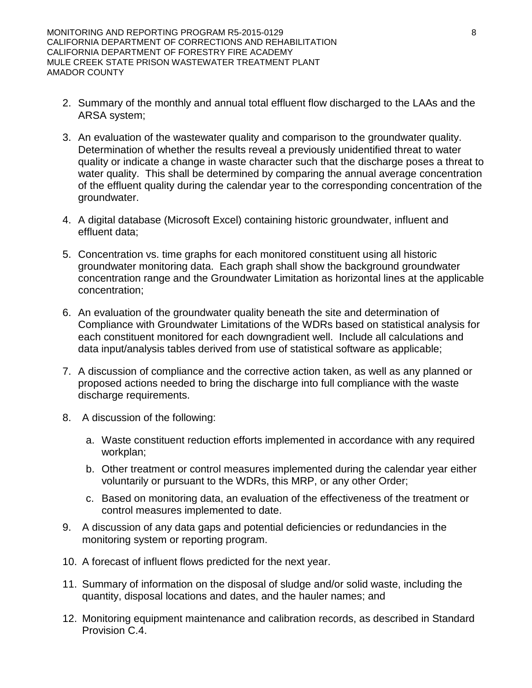MONITORING AND REPORTING PROGRAM R5-2015-0129 **8** 8 CALIFORNIA DEPARTMENT OF CORRECTIONS AND REHABILITATION CALIFORNIA DEPARTMENT OF FORESTRY FIRE ACADEMY MULE CREEK STATE PRISON WASTEWATER TREATMENT PLANT AMADOR COUNTY

- 2. Summary of the monthly and annual total effluent flow discharged to the LAAs and the ARSA system;
- 3. An evaluation of the wastewater quality and comparison to the groundwater quality. Determination of whether the results reveal a previously unidentified threat to water quality or indicate a change in waste character such that the discharge poses a threat to water quality. This shall be determined by comparing the annual average concentration of the effluent quality during the calendar year to the corresponding concentration of the groundwater.
- 4. A digital database (Microsoft Excel) containing historic groundwater, influent and effluent data;
- 5. Concentration vs. time graphs for each monitored constituent using all historic groundwater monitoring data. Each graph shall show the background groundwater concentration range and the Groundwater Limitation as horizontal lines at the applicable concentration;
- 6. An evaluation of the groundwater quality beneath the site and determination of Compliance with Groundwater Limitations of the WDRs based on statistical analysis for each constituent monitored for each downgradient well. Include all calculations and data input/analysis tables derived from use of statistical software as applicable;
- 7. A discussion of compliance and the corrective action taken, as well as any planned or proposed actions needed to bring the discharge into full compliance with the waste discharge requirements.
- 8. A discussion of the following:
	- a. Waste constituent reduction efforts implemented in accordance with any required workplan;
	- b. Other treatment or control measures implemented during the calendar year either voluntarily or pursuant to the WDRs, this MRP, or any other Order;
	- c. Based on monitoring data, an evaluation of the effectiveness of the treatment or control measures implemented to date.
- 9. A discussion of any data gaps and potential deficiencies or redundancies in the monitoring system or reporting program.
- 10. A forecast of influent flows predicted for the next year.
- 11. Summary of information on the disposal of sludge and/or solid waste, including the quantity, disposal locations and dates, and the hauler names; and
- 12. Monitoring equipment maintenance and calibration records, as described in Standard Provision C.4.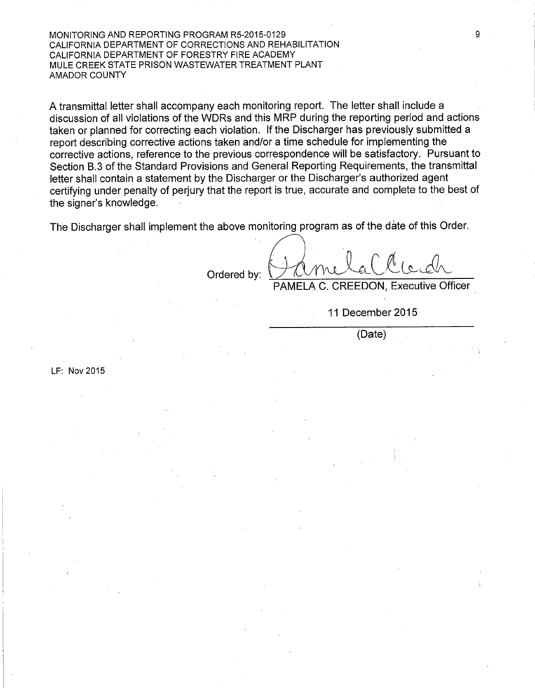MONITORING AND REPORTING PROGRAM R5-2015-0129 CALIFORNIA DEPARTMENT OF CORRECTIONS AND REHABILITATION CALIFORNIA DEPARTMENT OF FORESTRY FIRE ACADEMY MULE CREEK STATE PRISON WASTEWATER TREATMENT PLANT **AMADOR COUNTY** 

A transmittal letter shall accompany each monitoring report. The letter shall include a discussion of all violations of the WDRs and this MRP during the reporting period and actions taken or planned for correcting each violation. If the Discharger has previously submitted a report describing corrective actions taken and/or a time schedule for implementing the corrective actions, reference to the previous correspondence will be satisfactory. Pursuant to Section B.3 of the Standard Provisions and General Reporting Requirements, the transmittal letter shall contain a statement by the Discharger or the Discharger's authorized agent certifying under penalty of perjury that the report is true, accurate and complete to the best of the signer's knowledge.

The Discharger shall implement the above monitoring program as of the date of this Order.

Ordered bv:

LF: Nov 2015

PAMELA C. CREEDON. Executive Officer

11 December 2015

(Date)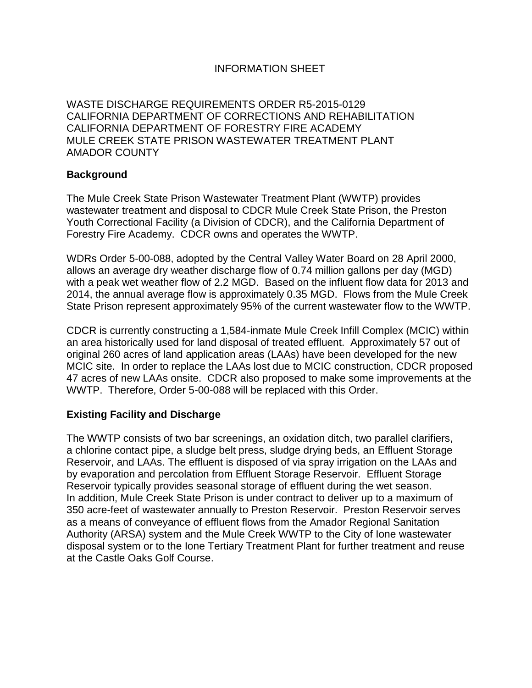# INFORMATION SHEET

WASTE DISCHARGE REQUIREMENTS ORDER R5-2015-0129 CALIFORNIA DEPARTMENT OF CORRECTIONS AND REHABILITATION CALIFORNIA DEPARTMENT OF FORESTRY FIRE ACADEMY MULE CREEK STATE PRISON WASTEWATER TREATMENT PLANT AMADOR COUNTY

### **Background**

The Mule Creek State Prison Wastewater Treatment Plant (WWTP) provides wastewater treatment and disposal to CDCR Mule Creek State Prison, the Preston Youth Correctional Facility (a Division of CDCR), and the California Department of Forestry Fire Academy. CDCR owns and operates the WWTP.

WDRs Order 5-00-088, adopted by the Central Valley Water Board on 28 April 2000, allows an average dry weather discharge flow of 0.74 million gallons per day (MGD) with a peak wet weather flow of 2.2 MGD. Based on the influent flow data for 2013 and 2014, the annual average flow is approximately 0.35 MGD. Flows from the Mule Creek State Prison represent approximately 95% of the current wastewater flow to the WWTP.

CDCR is currently constructing a 1,584-inmate Mule Creek Infill Complex (MCIC) within an area historically used for land disposal of treated effluent. Approximately 57 out of original 260 acres of land application areas (LAAs) have been developed for the new MCIC site. In order to replace the LAAs lost due to MCIC construction, CDCR proposed 47 acres of new LAAs onsite. CDCR also proposed to make some improvements at the WWTP. Therefore, Order 5-00-088 will be replaced with this Order.

### **Existing Facility and Discharge**

The WWTP consists of two bar screenings, an oxidation ditch, two parallel clarifiers, a chlorine contact pipe, a sludge belt press, sludge drying beds, an Effluent Storage Reservoir, and LAAs. The effluent is disposed of via spray irrigation on the LAAs and by evaporation and percolation from Effluent Storage Reservoir. Effluent Storage Reservoir typically provides seasonal storage of effluent during the wet season. In addition, Mule Creek State Prison is under contract to deliver up to a maximum of 350 acre-feet of wastewater annually to Preston Reservoir. Preston Reservoir serves as a means of conveyance of effluent flows from the Amador Regional Sanitation Authority (ARSA) system and the Mule Creek WWTP to the City of Ione wastewater disposal system or to the Ione Tertiary Treatment Plant for further treatment and reuse at the Castle Oaks Golf Course.